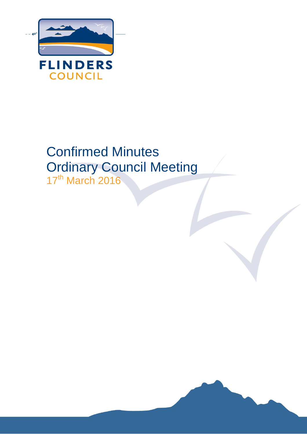

# Confirmed Minutes Ordinary Council Meeting 17<sup>th</sup> March 2016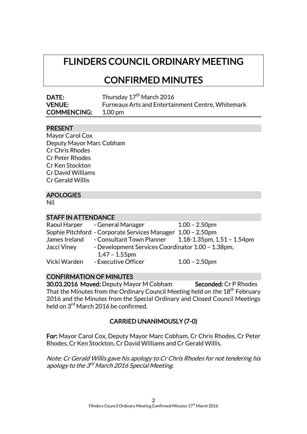# FLINDERS COUNCIL ORDINARY MEETING

# CONFIRMED MINUTES

| <b>DATE:</b>       | Thursday 17 <sup>th</sup> March 2016                     |
|--------------------|----------------------------------------------------------|
| <b>VENUE:</b>      | <b>Furneaux Arts and Entertainment Centre, Whitemark</b> |
| <b>COMMENCING:</b> | $1.00 \,\mathrm{pm}$                                     |

#### PRESENT

| Mayor Carol Cox          |
|--------------------------|
| Deputy Mayor Marc Cobham |
| <b>Cr Chris Rhodes</b>   |
| <b>Cr Peter Rhodes</b>   |
| Cr Ken Stockton          |
| <b>Cr David Williams</b> |
| <b>Cr Gerald Willis</b>  |
|                          |

# APOLOGIES

Nil

### STAFF IN ATTENDANCE

|               | Raoul Harper - General Manager                    | $1.00 - 2.50$ pm              |
|---------------|---------------------------------------------------|-------------------------------|
|               | Sophie Pitchford - Corporate Services Manager     | $1.00 - 2.50$ pm              |
| James Ireland | - Consultant Town Planner                         | 1.18-1.35pm, $1.51 - 1.54$ pm |
| Jacci Viney   | - Development Services Coordinator 1.00 - 1.38pm, |                               |
|               | $1.47 - 1.55$ pm                                  |                               |
| Vicki Warden  | - Executive Officer                               | $1.00 - 2.50$ pm              |

#### CONFIRMATION OF MINUTES

30.03.2016 Moved: Deputy Mayor M Cobham Seconded: Cr P Rhodes That the Minutes from the Ordinary Council Meeting held on the 18<sup>th</sup> February 2016 and the Minutes from the Special Ordinary and Closed Council Meetings held on 3<sup>rd</sup> March 2016 be confirmed.

# CARRIED UNANIMOUSLY (7-0)

For: Mayor Carol Cox, Deputy Mayor Marc Cobham, Cr Chris Rhodes, Cr Peter Rhodes, Cr Ken Stockton, Cr David Williams and Cr Gerald Willis.

Note: Cr Gerald Willis gave his apology to Cr Chris Rhodes for not tendering his apology to the 3<sup>rd</sup> March 2016 Special Meeting.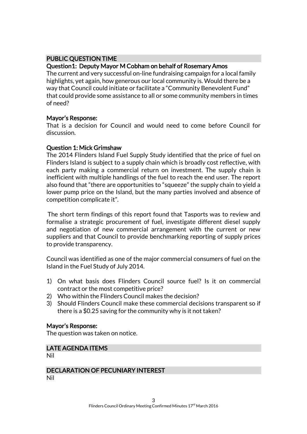# PUBLIC QUESTION TIME

#### Question1: Deputy Mayor M Cobham on behalf of Rosemary Amos

The current and very successful on-line fundraising campaign for a local family highlights, yet again, how generous our local community is. Would there be a way that Council could initiate or facilitate a "Community Benevolent Fund" that could provide some assistance to all or some community members in times of need?

#### Mayor's Response:

That is a decision for Council and would need to come before Council for discussion.

#### Question 1: Mick Grimshaw

The 2014 Flinders Island Fuel Supply Study identified that the price of fuel on Flinders Island is subject to a supply chain which is broadly cost reflective, with each party making a commercial return on investment. The supply chain is inefficient with multiple handlings of the fuel to reach the end user. The report also found that "there are opportunities to "squeeze" the supply chain to yield a lower pump price on the Island, but the many parties involved and absence of competition complicate it".

The short term findings of this report found that Tasports was to review and formalise a strategic procurement of fuel, investigate different diesel supply and negotiation of new commercial arrangement with the current or new suppliers and that Council to provide benchmarking reporting of supply prices to provide transparency.

Council was identified as one of the major commercial consumers of fuel on the Island in the Fuel Study of July 2014.

- 1) On what basis does Flinders Council source fuel? Is it on commercial contract or the most competitive price?
- 2) Who within the Flinders Council makes the decision?
- 3) Should Flinders Council make these commercial decisions transparent so if there is a \$0.25 saving for the community why is it not taken?

# Mayor's Response:

The question was taken on notice.

# LATE AGENDA ITEMS

Nil

# DECLARATION OF PECUNIARY INTEREST

Nil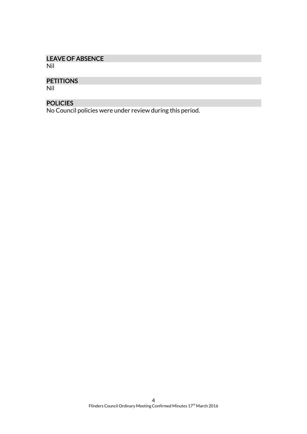# LEAVE OF ABSENCE

Nil

# **PETITIONS**

Nil

# POLICIES

No Council policies were under review during this period.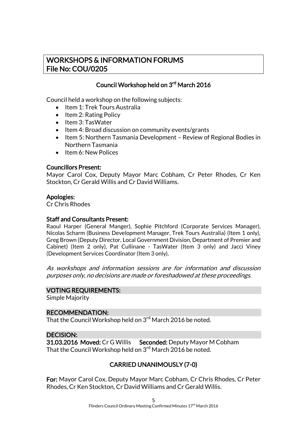# WORKSHOPS & INFORMATION FORUMS File No: COU/0205

# Council Workshop held on 3<sup>rd</sup> March 2016

Council held a workshop on the following subjects:

- Item 1: Trek Tours Australia
- $\bullet$  Item 2: Rating Policy
- Item 3: TasWater
- $\bullet$  Item 4: Broad discussion on community events/grants
- Item 5: Northern Tasmania Development Review of Regional Bodies in Northern Tasmania
- Item 6: New Polices

#### Councillors Present:

Mayor Carol Cox, Deputy Mayor Marc Cobham, Cr Peter Rhodes, Cr Ken Stockton, Cr Gerald Willis and Cr David Williams.

#### Apologies:

Cr Chris Rhodes

# Staff and Consultants Present:

Raoul Harper (General Manger), Sophie Pitchford (Corporate Services Manager), Nicolas Scharm (Business Development Manager, Trek Tours Australia) (Item 1 only), Greg Brown (Deputy Director, Local Government Division, Department of Premier and Cabinet) (Item 2 only), Pat Cullinane - TasWater (Item 3 only) and Jacci Viney (Development Services Coordinator (Item 3 only).

As workshops and information sessions are for information and discussion purposes only, no decisions are made or foreshadowed at these proceedings.

#### VOTING REQUIREMENTS:

Simple Majority

#### RECOMMENDATION:

That the Council Workshop held on 3<sup>rd</sup> March 2016 be noted.

# DECISION:

31.03.2016 Moved: Cr G Willis Seconded: Deputy Mayor M Cobham That the Council Workshop held on 3<sup>rd</sup> March 2016 be noted.

# CARRIED UNANIMOUSLY (7-0)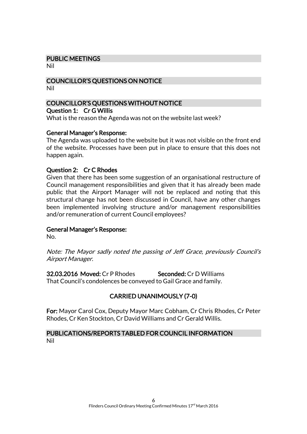#### PUBLIC MEETINGS

Nil

#### COUNCILLOR'S QUESTIONS ON NOTICE Nil

#### COUNCILLOR'S QUESTIONS WITHOUT NOTICE Question 1: Cr G Willis

What is the reason the Agenda was not on the website last week?

#### General Manager's Response:

The Agenda was uploaded to the website but it was not visible on the front end of the website. Processes have been put in place to ensure that this does not happen again.

#### Question 2: Cr C Rhodes

Given that there has been some suggestion of an organisational restructure of Council management responsibilities and given that it has already been made public that the Airport Manager will not be replaced and noting that this structural change has not been discussed in Council, have any other changes been implemented involving structure and/or management responsibilities and/or remuneration of current Council employees?

#### General Manager's Response:

No.

Note: The Mayor sadly noted the passing of Jeff Grace, previously Council's Airport Manager.

32.03.2016 Moved: Cr P Rhodes Seconded: Cr D Williams That Council's condolences be conveyed to Gail Grace and family.

# CARRIED UNANIMOUSLY (7-0)

For: Mayor Carol Cox, Deputy Mayor Marc Cobham, Cr Chris Rhodes, Cr Peter Rhodes, Cr Ken Stockton, Cr David Williams and Cr Gerald Willis.

# PUBLICATIONS/REPORTS TABLED FOR COUNCIL INFORMATION Nil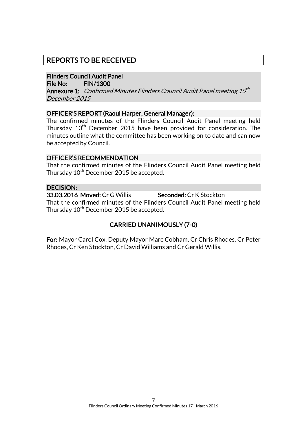# REPORTS TO BE RECEIVED

# Flinders Council Audit Panel

File No: FIN/1300

**Annexure 1:** Confirmed Minutes Flinders Council Audit Panel meeting 10<sup>th</sup> December 2015

#### OFFICER'S REPORT (Raoul Harper, General Manager):

The confirmed minutes of the Flinders Council Audit Panel meeting held Thursday  $10<sup>th</sup>$  December 2015 have been provided for consideration. The minutes outline what the committee has been working on to date and can now be accepted by Council.

#### OFFICER'S RECOMMENDATION

That the confirmed minutes of the Flinders Council Audit Panel meeting held Thursday 10<sup>th</sup> December 2015 be accepted.

#### DECISION:

33.03.2016 Moved: Cr G Willis Seconded: Cr K Stockton That the confirmed minutes of the Flinders Council Audit Panel meeting held Thursday 10<sup>th</sup> December 2015 be accepted.

# CARRIED UNANIMOUSLY (7-0)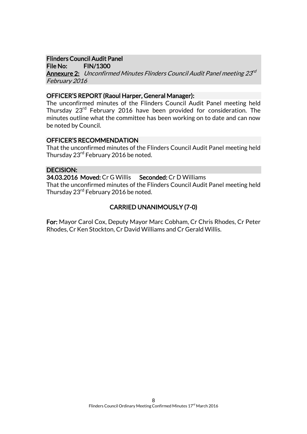#### Flinders Council Audit Panel

File No: FIN/1300

**Annexure 2:** Unconfirmed Minutes Flinders Council Audit Panel meeting 23<sup>rd</sup> February 2016

#### OFFICER'S REPORT (Raoul Harper, General Manager):

The unconfirmed minutes of the Flinders Council Audit Panel meeting held Thursday 23rd February 2016 have been provided for consideration. The minutes outline what the committee has been working on to date and can now be noted by Council.

#### OFFICER'S RECOMMENDATION

That the unconfirmed minutes of the Flinders Council Audit Panel meeting held Thursday 23<sup>rd</sup> February 2016 be noted.

### DECISION:

34.03.2016 Moved: Cr G Willis Seconded: Cr D Williams

That the unconfirmed minutes of the Flinders Council Audit Panel meeting held Thursday 23<sup>rd</sup> February 2016 be noted.

# CARRIED UNANIMOUSLY (7-0)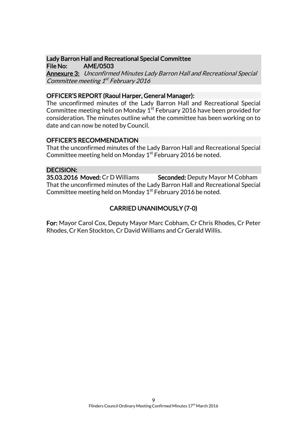#### Lady Barron Hall and Recreational Special Committee File No: AME/0503

Annexure 3: Unconfirmed Minutes Lady Barron Hall and Recreational Special Committee meeting 1<sup>st</sup> February 2016

#### OFFICER'S REPORT (Raoul Harper, General Manager):

The unconfirmed minutes of the Lady Barron Hall and Recreational Special Committee meeting held on Monday  $1^\mathrm{st}$  February 2016 have been provided for consideration. The minutes outline what the committee has been working on to date and can now be noted by Council.

### OFFICER'S RECOMMENDATION

That the unconfirmed minutes of the Lady Barron Hall and Recreational Special Committee meeting held on Monday 1<sup>st</sup> February 2016 be noted.

#### DECISION:

35.03.2016 Moved: Cr D Williams Seconded: Deputy Mayor M Cobham That the unconfirmed minutes of the Lady Barron Hall and Recreational Special Committee meeting held on Monday 1<sup>st</sup> February 2016 be noted.

# CARRIED UNANIMOUSLY (7-0)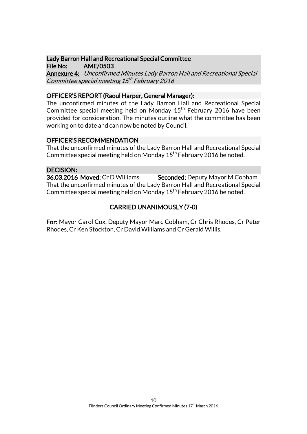#### Lady Barron Hall and Recreational Special Committee File No: AME/0503

Annexure 4: Unconfirmed Minutes Lady Barron Hall and Recreational Special Committee special meeting 15<sup>th</sup> February 2016

### OFFICER'S REPORT (Raoul Harper, General Manager):

The unconfirmed minutes of the Lady Barron Hall and Recreational Special Committee special meeting held on Monday 15<sup>th</sup> February 2016 have been provided for consideration. The minutes outline what the committee has been working on to date and can now be noted by Council.

#### OFFICER'S RECOMMENDATION

That the unconfirmed minutes of the Lady Barron Hall and Recreational Special Committee special meeting held on Monday 15<sup>th</sup> February 2016 be noted.

#### DECISION:

36.03.2016 Moved: Cr D Williams Seconded: Deputy Mayor M Cobham That the unconfirmed minutes of the Lady Barron Hall and Recreational Special Committee special meeting held on Monday  $15<sup>th</sup>$  February 2016 be noted.

# CARRIED UNANIMOUSLY (7-0)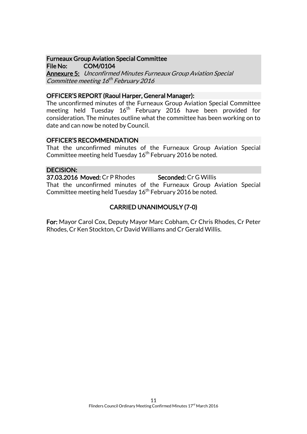# Furneaux Group Aviation Special Committee

File No: COM/0104 Annexure 5: Unconfirmed Minutes Furneaux Group Aviation Special Committee meeting 16<sup>th</sup> February 2016

#### OFFICER'S REPORT (Raoul Harper, General Manager):

The unconfirmed minutes of the Furneaux Group Aviation Special Committee meeting held Tuesday  $16<sup>th</sup>$  February 2016 have been provided for consideration. The minutes outline what the committee has been working on to date and can now be noted by Council.

#### OFFICER'S RECOMMENDATION

That the unconfirmed minutes of the Furneaux Group Aviation Special Committee meeting held Tuesday  $16<sup>th</sup>$  February 2016 be noted.

#### DECISION:

37.03.2016 Moved: Cr P Rhodes Seconded: Cr G Willis That the unconfirmed minutes of the Furneaux Group Aviation Special Committee meeting held Tuesday  $16<sup>th</sup>$  February 2016 be noted.

# CARRIED UNANIMOUSLY (7-0)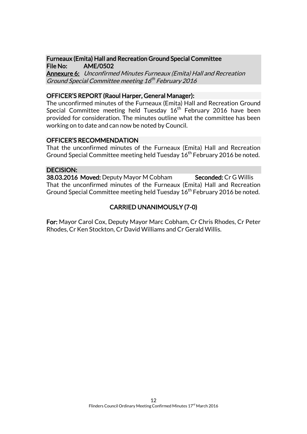#### Furneaux (Emita) Hall and Recreation Ground Special Committee File No: AME/0502

Annexure 6: Unconfirmed Minutes Furneaux (Emita) Hall and Recreation Ground Special Committee meeting 16<sup>th</sup> February 2016

#### OFFICER'S REPORT (Raoul Harper, General Manager):

The unconfirmed minutes of the Furneaux (Emita) Hall and Recreation Ground Special Committee meeting held Tuesday  $16<sup>th</sup>$  February 2016 have been provided for consideration. The minutes outline what the committee has been working on to date and can now be noted by Council.

#### OFFICER'S RECOMMENDATION

That the unconfirmed minutes of the Furneaux (Emita) Hall and Recreation Ground Special Committee meeting held Tuesday 16<sup>th</sup> February 2016 be noted.

#### DECISION:

38.03.2016 Moved: Deputy Mayor M Cobham Seconded: Cr G Willis That the unconfirmed minutes of the Furneaux (Emita) Hall and Recreation Ground Special Committee meeting held Tuesday 16<sup>th</sup> February 2016 be noted.

# CARRIED UNANIMOUSLY (7-0)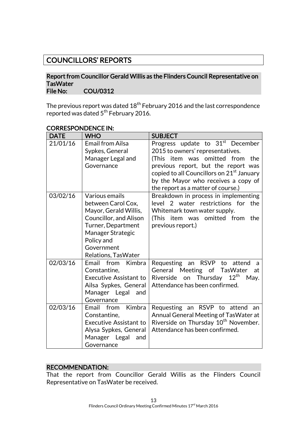# COUNCILLORS' REPORTS

#### Report from Councillor Gerald Willis as the Flinders Council Representative on **TasWater** File No: COU/0312

The previous report was dated  $18^{\mathsf{th}}$  February 2016 and the last correspondence reported was dated 5<sup>th</sup> February 2016.

| <b>DATE</b> | <b>WHO</b>                                                                                                                                                                            | <b>SUBJECT</b>                                                                                                                                                                                                                                                                                      |
|-------------|---------------------------------------------------------------------------------------------------------------------------------------------------------------------------------------|-----------------------------------------------------------------------------------------------------------------------------------------------------------------------------------------------------------------------------------------------------------------------------------------------------|
| 21/01/16    | <b>Email from Ailsa</b><br>Sypkes, General<br>Manager Legal and<br>Governance                                                                                                         | Progress update to 31 <sup>st</sup> December<br>2015 to owners' representatives.<br>(This item was omitted from<br>the<br>previous report, but the report was<br>copied to all Councillors on 21 <sup>st</sup> January<br>by the Mayor who receives a copy of<br>the report as a matter of course.) |
| 03/02/16    | Various emails<br>between Carol Cox,<br>Mayor, Gerald Willis,<br>Councillor, and Alison<br>Turner, Department<br>Manager Strategic<br>Policy and<br>Government<br>Relations, TasWater | Breakdown in process in implementing<br>level 2 water restrictions for the<br>Whitemark town water supply.<br>(This item was omitted from<br>the<br>previous report.)                                                                                                                               |
| 02/03/16    | Kimbra<br>Email<br>from<br>Constantine,<br><b>Executive Assistant to</b><br>Ailsa Sypkes, General<br>Manager Legal<br>and<br>Governance                                               | Requesting an RSVP to<br>attend<br>a<br>General Meeting of TasWater<br>at<br>$12^{\text{th}}$<br>Thursday<br>Riverside<br>on<br>May.<br>Attendance has been confirmed.                                                                                                                              |
| 02/03/16    | Email from<br>Kimbra<br>Constantine,<br><b>Executive Assistant to</b><br>Alysa Sypkes, General<br>Manager Legal<br>and<br>Governance                                                  | Requesting an RSVP to attend<br>an<br>Annual General Meeting of TasWater at<br>Riverside on Thursday 10 <sup>th</sup> November.<br>Attendance has been confirmed.                                                                                                                                   |

#### CORRESPONDENCE IN:

#### RECOMMENDATION:

That the report from Councillor Gerald Willis as the Flinders Council Representative on TasWater be received.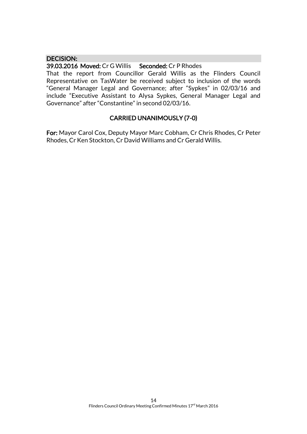#### DECISION:

#### 39.03.2016 Moved: Cr G Willis Seconded: Cr P Rhodes

That the report from Councillor Gerald Willis as the Flinders Council Representative on TasWater be received subject to inclusion of the words "General Manager Legal and Governance; after "Sypkes" in 02/03/16 and include "Executive Assistant to Alysa Sypkes, General Manager Legal and Governance" after "Constantine" in second 02/03/16.

# CARRIED UNANIMOUSLY (7-0)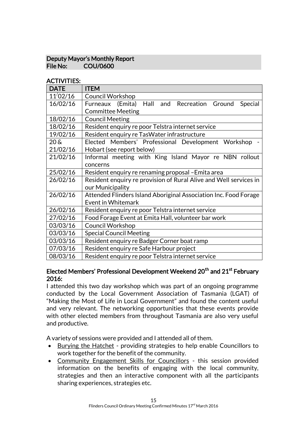# Deputy Mayor's Monthly Report File No: COU/0600

### ACTIVITIES:

| <b>DATE</b>        | <b>ITEM</b>                                                       |
|--------------------|-------------------------------------------------------------------|
| $11^{/}02/16$      | <b>Council Workshop</b>                                           |
| 16/02/16           | Furneaux (Emita) Hall and Recreation Ground<br>Special            |
|                    | <b>Committee Meeting</b>                                          |
| 18/02/16           | <b>Council Meeting</b>                                            |
| 18/02/16           | Resident enquiry re poor Telstra internet service                 |
| 19/02/16           | Resident enquiry re TasWater infrastructure                       |
| $20\,\mathrm{\AA}$ | Elected Members' Professional Development Workshop                |
| 21/02/16           | Hobart (see report below)                                         |
| 21/02/16           | Informal meeting with King Island Mayor re NBN rollout            |
|                    | concerns                                                          |
| 25/02/16           | Resident enquiry re renaming proposal - Emita area                |
| 26/02/16           | Resident enquiry re provision of Rural Alive and Well services in |
|                    | our Municipality                                                  |
| 26/02/16           | Attended Flinders Island Aboriginal Association Inc. Food Forage  |
|                    | Event in Whitemark                                                |
| 26/02/16           | Resident enquiry re poor Telstra internet service                 |
| 27/02/16           | Food Forage Event at Emita Hall, volunteer bar work               |
| 03/03/16           | <b>Council Workshop</b>                                           |
| 03/03/16           | <b>Special Council Meeting</b>                                    |
| 03/03/16           | Resident enquiry re Badger Corner boat ramp                       |
| 07/03/16           | Resident enquiry re Safe Harbour project                          |
| 08/03/16           | Resident enquiry re poor Telstra internet service                 |

#### Elected Members' Professional Development Weekend 20<sup>th</sup> and 21<sup>st</sup> February 2016:

I attended this two day workshop which was part of an ongoing programme conducted by the Local Government Association of Tasmania (LGAT) of "Making the Most of Life in Local Government" and found the content useful and very relevant. The networking opportunities that these events provide with other elected members from throughout Tasmania are also very useful and productive.

A variety of sessions were provided and I attended all of them.

- Burying the Hatchet providing strategies to help enable Councillors to work together for the benefit of the community.
- Community Engagement Skills for Councillors this session provided information on the benefits of engaging with the local community, strategies and then an interactive component with all the participants sharing experiences, strategies etc.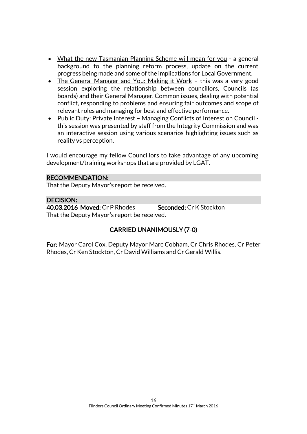- What the new Tasmanian Planning Scheme will mean for you a general background to the planning reform process, update on the current progress being made and some of the implications for Local Government.
- The General Manager and You: Making it Work this was a very good session exploring the relationship between councillors, Councils (as boards) and their General Manager. Common issues, dealing with potential conflict, responding to problems and ensuring fair outcomes and scope of relevant roles and managing for best and effective performance.
- Public Duty: Private Interest Managing Conflicts of Interest on Council this session was presented by staff from the Integrity Commission and was an interactive session using various scenarios highlighting issues such as reality vs perception.

I would encourage my fellow Councillors to take advantage of any upcoming development/training workshops that are provided by LGAT.

# RECOMMENDATION:

That the Deputy Mayor's report be received.

# DECISION:

40.03.2016 Moved: Cr P Rhodes Seconded: Cr K Stockton That the Deputy Mayor's report be received.

# CARRIED UNANIMOUSLY (7-0)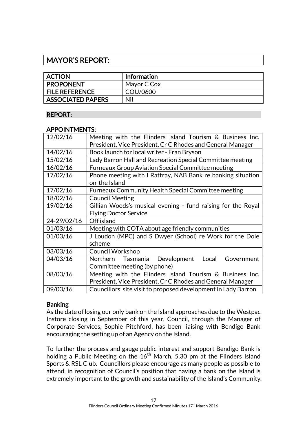# MAYOR'S REPORT:

| <b>ACTION</b>            | <b>Information</b> |
|--------------------------|--------------------|
| PROPONENT                | Mayor C Cox        |
| <b>FILE REFERENCE</b>    | COU/0600           |
| <b>ASSOCIATED PAPERS</b> | Nil                |

# REPORT:

#### APPOINTMENTS:

| 12/02/16    | Meeting with the Flinders Island Tourism & Business Inc.       |  |
|-------------|----------------------------------------------------------------|--|
|             | President, Vice President, Cr C Rhodes and General Manager     |  |
| 14/02/16    | Book launch for local writer - Fran Bryson                     |  |
| 15/02/16    | Lady Barron Hall and Recreation Special Committee meeting      |  |
| 16/02/16    | <b>Furneaux Group Aviation Special Committee meeting</b>       |  |
| 17/02/16    | Phone meeting with I Rattray, NAB Bank re banking situation    |  |
|             | on the Island                                                  |  |
| 17/02/16    | <b>Furneaux Community Health Special Committee meeting</b>     |  |
| 18/02/16    | <b>Council Meeting</b>                                         |  |
| 19/02/16    | Gillian Woods's musical evening - fund raising for the Royal   |  |
|             | <b>Flying Doctor Service</b>                                   |  |
| 24-29/02/16 | Off island                                                     |  |
| 01/03/16    | Meeting with COTA about age friendly communities               |  |
| 01/03/16    | J Loudon (MPC) and S Dwyer (School) re Work for the Dole       |  |
|             | scheme                                                         |  |
| 03/03/16    | Council Workshop                                               |  |
| 04/03/16    | Tasmania Development<br>Local<br>Northern<br>Government        |  |
|             | Committee meeting (by phone)                                   |  |
| 08/03/16    | Meeting with the Flinders Island Tourism & Business Inc.       |  |
|             | President, Vice President, Cr C Rhodes and General Manager     |  |
| 09/03/16    | Councillors' site visit to proposed development in Lady Barron |  |

# **Banking**

As the date of losing our only bank on the Island approaches due to the Westpac Instore closing in September of this year, Council, through the Manager of Corporate Services, Sophie Pitchford, has been liaising with Bendigo Bank encouraging the setting up of an Agency on the Island.

To further the process and gauge public interest and support Bendigo Bank is holding a Public Meeting on the  $16<sup>th</sup>$  March, 5.30 pm at the Flinders Island Sports & RSL Club. Councillors please encourage as many people as possible to attend, in recognition of Council's position that having a bank on the Island is extremely important to the growth and sustainability of the Island's Community.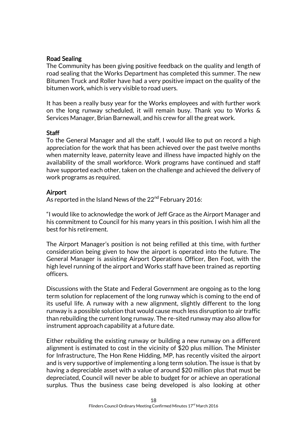### Road Sealing

The Community has been giving positive feedback on the quality and length of road sealing that the Works Department has completed this summer. The new Bitumen Truck and Roller have had a very positive impact on the quality of the bitumen work, which is very visible to road users.

It has been a really busy year for the Works employees and with further work on the long runway scheduled, it will remain busy. Thank you to Works & Services Manager, Brian Barnewall, and his crew for all the great work.

#### **Staff**

To the General Manager and all the staff, I would like to put on record a high appreciation for the work that has been achieved over the past twelve months when maternity leave, paternity leave and illness have impacted highly on the availability of the small workforce. Work programs have continued and staff have supported each other, taken on the challenge and achieved the delivery of work programs as required.

#### Airport

As reported in the Island News of the 22<sup>nd</sup> February 2016:

"I would like to acknowledge the work of Jeff Grace as the Airport Manager and his commitment to Council for his many years in this position. I wish him all the best for his retirement.

The Airport Manager's position is not being refilled at this time, with further consideration being given to how the airport is operated into the future. The General Manager is assisting Airport Operations Officer, Ben Foot, with the high level running of the airport and Works staff have been trained as reporting officers.

Discussions with the State and Federal Government are ongoing as to the long term solution for replacement of the long runway which is coming to the end of its useful life. A runway with a new alignment, slightly different to the long runway is a possible solution that would cause much less disruption to air traffic than rebuilding the current long runway. The re-sited runway may also allow for instrument approach capability at a future date.

Either rebuilding the existing runway or building a new runway on a different alignment is estimated to cost in the vicinity of \$20 plus million. The Minister for Infrastructure, The Hon Rene Hidding, MP, has recently visited the airport and is very supportive of implementing a long term solution. The issue is that by having a depreciable asset with a value of around \$20 million plus that must be depreciated, Council will never be able to budget for or achieve an operational surplus. Thus the business case being developed is also looking at other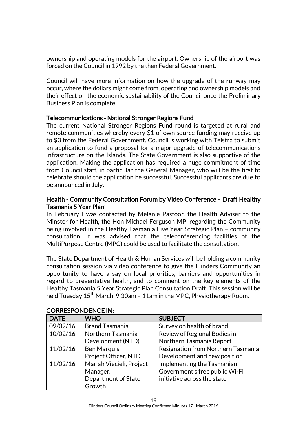ownership and operating models for the airport. Ownership of the airport was forced on the Council in 1992 by the then Federal Government."

Council will have more information on how the upgrade of the runway may occur, where the dollars might come from, operating and ownership models and their effect on the economic sustainability of the Council once the Preliminary Business Plan is complete.

# Telecommunications - National Stronger Regions Fund

The current National Stronger Regions Fund round is targeted at rural and remote communities whereby every \$1 of own source funding may receive up to \$3 from the Federal Government. Council is working with Telstra to submit an application to fund a proposal for a major upgrade of telecommunications infrastructure on the Islands. The State Government is also supportive of the application. Making the application has required a huge commitment of time from Council staff, in particular the General Manager, who will be the first to celebrate should the application be successful. Successful applicants are due to be announced in July.

#### Health - Community Consultation Forum by Video Conference - 'Draft Healthy Tasmania 5 Year Plan'

In February I was contacted by Melanie Pastoor, the Health Adviser to the Minster for Health, the Hon Michael Ferguson MP, regarding the Community being involved in the Healthy Tasmania Five Year Strategic Plan – community consultation. It was advised that the teleconferencing facilities of the MultiPurpose Centre (MPC) could be used to facilitate the consultation.

The State Department of Health & Human Services will be holding a community consultation session via video conference to give the Flinders Community an opportunity to have a say on local priorities, barriers and opportunities in regard to preventative health, and to comment on the key elements of the Healthy Tasmania 5 Year Strategic Plan Consultation Draft. This session will be held Tuesday  $15<sup>th</sup>$  March, 9:30am – 11am in the MPC, Physiotherapy Room.

| <b>DATE</b> | <b>WHO</b>               | <b>SUBJECT</b>                     |
|-------------|--------------------------|------------------------------------|
| 09/02/16    | <b>Brand Tasmania</b>    | Survey on health of brand          |
| 10/02/16    | Northern Tasmania        | Review of Regional Bodies in       |
|             | Development (NTD)        | Northern Tasmania Report           |
| 11/02/16    | <b>Ben Marquis</b>       | Resignation from Northern Tasmania |
|             | Project Officer, NTD     | Development and new position       |
| 11/02/16    | Mariah Viecieli, Project | Implementing the Tasmanian         |
|             | Manager,                 | Government's free public Wi-Fi     |
|             | Department of State      | initiative across the state        |
|             | Growth                   |                                    |

#### CORRESPONDENCE IN: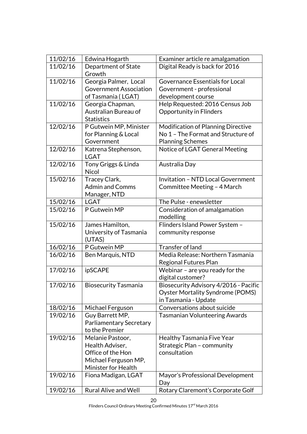| 11/02/16 | Edwina Hogarth                              | Examiner article re amalgamation           |
|----------|---------------------------------------------|--------------------------------------------|
| 11/02/16 | Department of State                         | Digital Ready is back for 2016             |
|          | Growth                                      |                                            |
| 11/02/16 | Georgia Palmer, Local                       | Governance Essentials for Local            |
|          | <b>Government Association</b>               | Government - professional                  |
|          | of Tasmania (LGAT)                          | development course                         |
| 11/02/16 | Georgia Chapman,                            | Help Requested: 2016 Census Job            |
|          | Australian Bureau of                        | <b>Opportunity in Flinders</b>             |
|          | <b>Statistics</b>                           |                                            |
| 12/02/16 | P Gutwein MP, Minister                      | Modification of Planning Directive         |
|          | for Planning & Local                        | No 1 - The Format and Structure of         |
|          | Government                                  | <b>Planning Schemes</b>                    |
| 12/02/16 | Katrena Stephenson,                         | Notice of LGAT General Meeting             |
|          | <b>LGAT</b>                                 |                                            |
| 12/02/16 | Tony Griggs & Linda                         | Australia Day                              |
|          | <b>Nicol</b>                                |                                            |
| 15/02/16 | Tracey Clark,                               | <b>Invitation - NTD Local Government</b>   |
|          | <b>Admin and Comms</b>                      | Committee Meeting - 4 March                |
|          | Manager, NTD                                |                                            |
| 15/02/16 | <b>LGAT</b>                                 | The Pulse - enewsletter                    |
| 15/02/16 | P Gutwein MP                                | Consideration of amalgamation              |
|          |                                             | modelling                                  |
| 15/02/16 | James Hamilton,                             | Flinders Island Power System -             |
|          | University of Tasmania                      | community response                         |
|          | (UTAS)                                      |                                            |
| 16/02/16 | P Gutwein MP                                | Transfer of land                           |
| 16/02/16 | Ben Marquis, NTD                            | Media Release: Northern Tasmania           |
|          |                                             | Regional Futures Plan                      |
| 17/02/16 | ipSCAPE                                     | Webinar - are you ready for the            |
|          |                                             | digital customer?                          |
| 17/02/16 | <b>Biosecurity Tasmania</b>                 | Biosecurity Advisory 4/2016 - Pacific      |
|          |                                             | <b>Oyster Mortality Syndrome (POMS)</b>    |
|          |                                             | in Tasmania - Update                       |
| 18/02/16 | Michael Ferguson                            | Conversations about suicide                |
| 19/02/16 | Guy Barrett MP,                             | <b>Tasmanian Volunteering Awards</b>       |
|          | Parliamentary Secretary                     |                                            |
|          | to the Premier                              |                                            |
| 19/02/16 | Melanie Pastoor,                            | <b>Healthy Tasmania Five Year</b>          |
|          | Health Adviser,<br>Office of the Hon        | Strategic Plan - community<br>consultation |
|          |                                             |                                            |
|          | Michael Ferguson MP,<br>Minister for Health |                                            |
| 19/02/16 | Fiona Madigan, LGAT                         | Mayor's Professional Development           |
|          |                                             | Day                                        |
| 19/02/16 | <b>Rural Alive and Well</b>                 | Rotary Claremont's Corporate Golf          |
|          |                                             |                                            |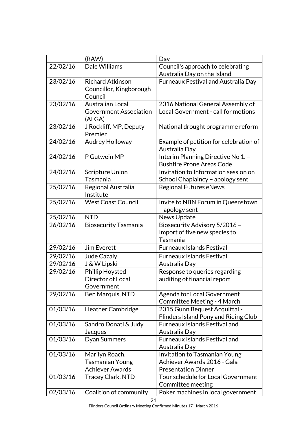|          | (RAW)                             | Day                                                               |
|----------|-----------------------------------|-------------------------------------------------------------------|
| 22/02/16 | Dale Williams                     | Council's approach to celebrating                                 |
|          |                                   | Australia Day on the Island                                       |
| 23/02/16 | <b>Richard Atkinson</b>           | <b>Furneaux Festival and Australia Day</b>                        |
|          | Councillor, Kingborough           |                                                                   |
|          | Council                           |                                                                   |
| 23/02/16 | <b>Australian Local</b>           | 2016 National General Assembly of                                 |
|          | <b>Government Association</b>     | Local Government - call for motions                               |
|          | (ALGA)                            |                                                                   |
| 23/02/16 | J Rockliff, MP, Deputy<br>Premier | National drought programme reform                                 |
| 24/02/16 | Audrey Holloway                   | Example of petition for celebration of                            |
|          |                                   | Australia Day                                                     |
| 24/02/16 | P Gutwein MP                      | Interim Planning Directive No 1. -                                |
|          |                                   | <b>Bushfire Prone Areas Code</b>                                  |
| 24/02/16 | <b>Scripture Union</b>            | Invitation to Information session on                              |
|          | Tasmania                          | School Chaplaincy - apology sent                                  |
| 25/02/16 | Regional Australia                | <b>Regional Futures eNews</b>                                     |
|          | Institute                         |                                                                   |
| 25/02/16 | <b>West Coast Council</b>         | Invite to NBN Forum in Queenstown                                 |
|          |                                   | - apology sent                                                    |
| 25/02/16 | <b>NTD</b>                        | News Update                                                       |
| 26/02/16 | <b>Biosecurity Tasmania</b>       | Biosecurity Advisory 5/2016 -                                     |
|          |                                   | Import of five new species to                                     |
|          |                                   | Tasmania                                                          |
| 29/02/16 | Jim Everett                       | Furneaux Islands Festival                                         |
| 29/02/16 | <b>Jude Cazaly</b>                | <b>Furneaux Islands Festival</b>                                  |
| 29/02/16 | J & W Lipski                      | Australia Day                                                     |
| 29/02/16 | Phillip Hoysted -                 | Response to queries regarding                                     |
|          | Director of Local                 | auditing of financial report                                      |
|          | Government                        |                                                                   |
| 29/02/16 | Ben Marquis, NTD                  | <b>Agenda for Local Government</b><br>Committee Meeting - 4 March |
| 01/03/16 | <b>Heather Cambridge</b>          | 2015 Gunn Bequest Acquittal -                                     |
|          |                                   | Flinders Island Pony and Riding Club                              |
| 01/03/16 | Sandro Donati & Judy              | <b>Furneaux Islands Festival and</b>                              |
|          | Jacques                           | Australia Day                                                     |
| 01/03/16 | <b>Dyan Summers</b>               | <b>Furneaux Islands Festival and</b>                              |
|          |                                   | Australia Day                                                     |
| 01/03/16 | Marilyn Roach,                    | Invitation to Tasmanian Young                                     |
|          | <b>Tasmanian Young</b>            | Achiever Awards 2016 - Gala                                       |
|          | <b>Achiever Awards</b>            | <b>Presentation Dinner</b>                                        |
| 01/03/16 | <b>Tracey Clark, NTD</b>          | Tour schedule for Local Government                                |
|          |                                   | Committee meeting                                                 |
| 02/03/16 | Coalition of community            | Poker machines in local government                                |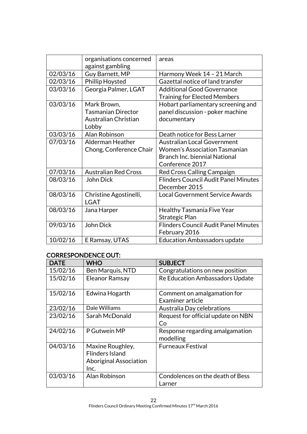|          | organisations concerned     | areas                                       |
|----------|-----------------------------|---------------------------------------------|
|          | against gambling            |                                             |
| 02/03/16 | Guy Barnett, MP             | Harmony Week 14 - 21 March                  |
| 02/03/16 | Phillip Hoysted             | Gazettal notice of land transfer            |
| 03/03/16 | Georgia Palmer, LGAT        | <b>Additional Good Governance</b>           |
|          |                             | <b>Training for Elected Members</b>         |
| 03/03/16 | Mark Brown,                 | Hobart parliamentary screening and          |
|          | Tasmanian Director          | panel discussion - poker machine            |
|          | Australian Christian        | documentary                                 |
|          | Lobby                       |                                             |
| 03/03/16 | Alan Robinson               | Death notice for Bess Larner                |
| 07/03/16 | Alderman Heather            | <b>Australian Local Government</b>          |
|          | Chong, Conference Chair     | <b>Women's Association Tasmanian</b>        |
|          |                             | <b>Branch Inc. biennial National</b>        |
|          |                             | Conference 2017                             |
| 07/03/16 | <b>Australian Red Cross</b> | Red Cross Calling Campaign                  |
| 08/03/16 | John Dick                   | <b>Flinders Council Audit Panel Minutes</b> |
|          |                             | December 2015                               |
| 08/03/16 | Christine Agostinelli,      | Local Government Service Awards             |
|          | <b>LGAT</b>                 |                                             |
| 08/03/16 | Jana Harper                 | <b>Healthy Tasmania Five Year</b>           |
|          |                             | Strategic Plan                              |
| 09/03/16 | John Dick                   | <b>Flinders Council Audit Panel Minutes</b> |
|          |                             | February 2016                               |
| 10/02/16 | E Ramsay, UTAS              | <b>Education Ambassadors update</b>         |

# CORRESPONDENCE OUT:

| <b>DATE</b> | <b>WHO</b>                    | <b>SUBJECT</b>                     |
|-------------|-------------------------------|------------------------------------|
| 15/02/16    | Ben Marquis, NTD              | Congratulations on new position    |
| 15/02/16    | <b>Eleanor Ramsay</b>         | Re Education Ambassadors Update    |
| 15/02/16    | Edwina Hogarth                | Comment on amalgamation for        |
|             |                               | Examiner article                   |
| 23/02/16    | Dale Williams                 | Australia Day celebrations         |
| 23/02/16    | Sarah McDonald                | Request for official update on NBN |
|             |                               | Co                                 |
| 24/02/16    | P Gutwein MP                  | Response regarding amalgamation    |
|             |                               | modelling                          |
| 04/03/16    | Maxine Roughley,              | <b>Furneaux Festival</b>           |
|             | <b>Flinders Island</b>        |                                    |
|             | <b>Aboriginal Association</b> |                                    |
|             | Inc.                          |                                    |
| 03/03/16    | Alan Robinson                 | Condolences on the death of Bess   |
|             |                               | Larner                             |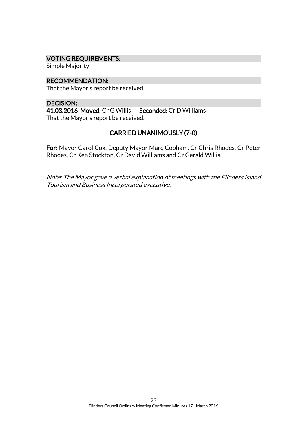#### VOTING REQUIREMENTS:

Simple Majority

RECOMMENDATION: That the Mayor's report be received.

DECISION: 41.03.2016 Moved: Cr G Willis Seconded: Cr D Williams That the Mayor's report be received.

# CARRIED UNANIMOUSLY (7-0)

For: Mayor Carol Cox, Deputy Mayor Marc Cobham, Cr Chris Rhodes, Cr Peter Rhodes, Cr Ken Stockton, Cr David Williams and Cr Gerald Willis.

Note: The Mayor gave a verbal explanation of meetings with the Flinders Island Tourism and Business Incorporated executive.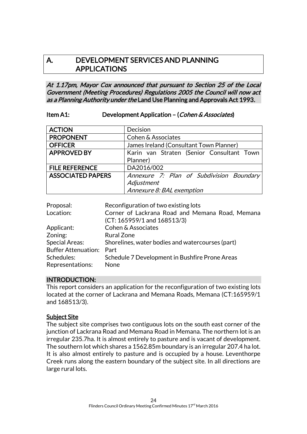# A.DEVELOPMENT SERVICES AND PLANNING APPLICATIONS

At 1.17pm, Mayor Cox announced that pursuant to Section 25 of the Local Government (Meeting Procedures) Regulations 2005 the Council will now act as a Planning Authority under the Land Use Planning and Approvals Act 1993.

#### Item A1: Development Application – (Cohen & Associates)

| <b>ACTION</b>            | Decision                                  |
|--------------------------|-------------------------------------------|
| <b>PROPONENT</b>         | Cohen & Associates                        |
| <b>OFFICER</b>           | James Ireland (Consultant Town Planner)   |
| <b>APPROVED BY</b>       | Karin van Straten (Senior Consultant Town |
|                          | Planner)                                  |
| <b>FILE REFERENCE</b>    | DA2016/002                                |
| <b>ASSOCIATED PAPERS</b> | Annexure 7: Plan of Subdivision Boundary  |
|                          | Adjustment                                |
|                          | Annexure 8: BAL exemption                 |

| Proposal:                  | Reconfiguration of two existing lots                                               |
|----------------------------|------------------------------------------------------------------------------------|
| Location:                  | Corner of Lackrana Road and Memana Road, Memana<br>$(CT: 165959/1$ and $168513/3)$ |
| Applicant:                 | <b>Cohen &amp; Associates</b>                                                      |
|                            |                                                                                    |
| Zoning:                    | <b>Rural Zone</b>                                                                  |
| <b>Special Areas:</b>      | Shorelines, water bodies and watercourses (part)                                   |
| <b>Buffer Attenuation:</b> | Part                                                                               |
| Schedules:                 | Schedule 7 Development in Bushfire Prone Areas                                     |
| Representations:           | None                                                                               |

# INTRODUCTION:

This report considers an application for the reconfiguration of two existing lots located at the corner of Lackrana and Memana Roads, Memana (CT:165959/1 and 168513/3).

# Subject Site

The subject site comprises two contiguous lots on the south east corner of the junction of Lackrana Road and Memana Road in Memana. The northern lot is an irregular 235.7ha. It is almost entirely to pasture and is vacant of development. The southern lot which shares a 1562.85m boundary is an irregular 207.4 ha lot. It is also almost entirely to pasture and is occupied by a house. Leventhorpe Creek runs along the eastern boundary of the subject site. In all directions are large rural lots.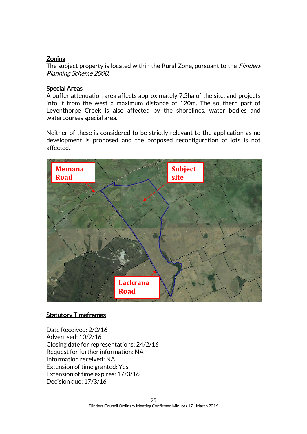# **Zoning**

The subject property is located within the Rural Zone, pursuant to the *Flinders* Planning Scheme 2000.

### Special Areas

A buffer attenuation area affects approximately 7.5ha of the site, and projects into it from the west a maximum distance of 120m. The southern part of Leventhorpe Creek is also affected by the shorelines, water bodies and watercourses special area.

Neither of these is considered to be strictly relevant to the application as no development is proposed and the proposed reconfiguration of lots is not affected.



# **Statutory Timeframes**

Date Received: 2/2/16 Advertised: 10/2/16 Closing date for representations: 24/2/16 Request for further information: NA Information received: NA Extension of time granted: Yes Extension of time expires: 17/3/16 Decision due: 17/3/16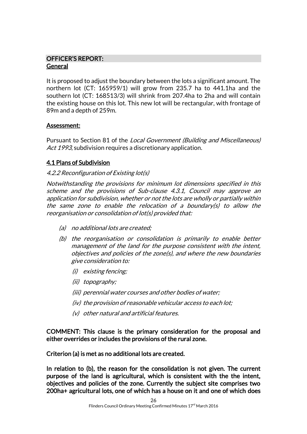# OFFICER'S REPORT: General

It is proposed to adjust the boundary between the lots a significant amount. The northern lot (CT: 165959/1) will grow from 235.7 ha to 441.1ha and the southern lot (CT: 168513/3) will shrink from 207.4ha to 2ha and will contain the existing house on this lot. This new lot will be rectangular, with frontage of 89m and a depth of 259m.

# Assessment:

Pursuant to Section 81 of the Local Government (Building and Miscellaneous) Act 1993, subdivision requires a discretionary application.

# 4.1 Plans of Subdivision

# 4.2.2 Reconfiguration of Existing lot(s)

Notwithstanding the provisions for minimum lot dimensions specified in this scheme and the provisions of Sub-clause 4.3.1, Council may approve an application for subdivision, whether or not the lots are wholly or partially within the same zone to enable the relocation of a boundary(s) to allow the reorganisation or consolidation of lot(s) provided that:

- (a) no additional lots are created;
- (b) the reorganisation or consolidation is primarily to enable better management of the land for the purpose consistent with the intent, objectives and policies of the zone(s), and where the new boundaries give consideration to:
	- (i) existing fencing;
	- (ii) topography;
	- (iii) perennial water courses and other bodies of water;
	- (iv) the provision of reasonable vehicular access to each lot;
	- (v) other natural and artificial features.

COMMENT: This clause is the primary consideration for the proposal and either overrides or includes the provisions of the rural zone.

Criterion (a) is met as no additional lots are created.

In relation to (b), the reason for the consolidation is not given. The current purpose of the land is agricultural, which is consistent with the the intent, objectives and policies of the zone. Currently the subject site comprises two 200ha+ agricultural lots, one of which has a house on it and one of which does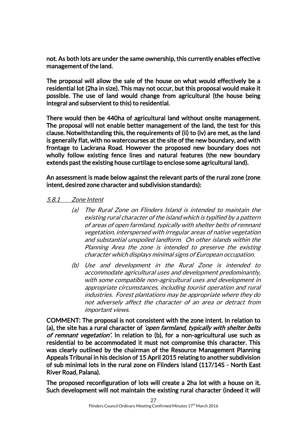not. As both lots are under the same ownership, this currently enables effective management of the land.

The proposal will allow the sale of the house on what would effectively be a residential lot (2ha in size). This may not occur, but this proposal would make it possible. The use of land would change from agricultural (the house being integral and subservient to this) to residential.

There would then be 440ha of agricultural land without onsite management. The proposal will not enable better management of the land, the test for this clause. Notwithstanding this, the requirements of (ii) to (iv) are met, as the land is generally flat, with no watercourses at the site of the new boundary, and with frontage to Lackrana Road. However the proposed new boundary does not wholly follow existing fence lines and natural features (the new boundary extends past the existing house curtilage to enclose some agricultural land).

An assessment is made below against the relevant parts of the rural zone (zone intent, desired zone character and subdivision standards):

#### 5.8.1 Zone Intent

- (a) The Rural Zone on Flinders Island is intended to maintain the existing rural character of the island which is typified by a pattern of areas of open farmland, typically with shelter belts of remnant vegetation, interspersed with irregular areas of native vegetation and substantial unspoiled landform. On other islands within the Planning Area the zone is intended to preserve the existing character which displays minimal signs of European occupation.
- (b) Use and development in the Rural Zone is intended to accommodate agricultural uses and development predominantly, with some compatible non-agricultural uses and development in appropriate circumstances, including tourist operation and rural industries. Forest plantations may be appropriate where they do not adversely affect the character of an area or detract from important views.

COMMENT: The proposal is not consistent with the zone intent. In relation to (a), the site has a rural character of *'open farmland, typically with shelter belts* of remnant vegetation'. In relation to (b), for a non-agricultural use such as residential to be accommodated it must not compromise this character. This was clearly outlined by the chairman of the Resource Management Planning Appeals Tribunal in his decision of 15 April 2015 relating to another subdivision of sub minimal lots in the rural zone on Flinders Island (117/14S - North East River Road, Palana).

The proposed reconfiguration of lots will create a 2ha lot with a house on it. Such development will not maintain the existing rural character (indeed it will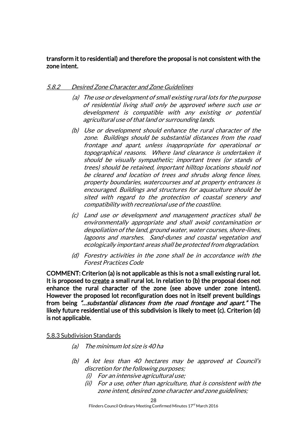### transform it to residential) and therefore the proposal is not consistent with the zone intent.

# 5.8.2 Desired Zone Character and Zone Guidelines

- (a) The use or development of small existing rural lots for the purpose of residential living shall only be approved where such use or development is compatible with any existing or potential agricultural use of that land or surrounding lands.
- (b) Use or development should enhance the rural character of the zone. Buildings should be substantial distances from the road frontage and apart, unless inappropriate for operational or topographical reasons. Where land clearance is undertaken it should be visually sympathetic; important trees (or stands of trees) should be retained, important hilltop locations should not be cleared and location of trees and shrubs along fence lines, property boundaries, watercourses and at property entrances is encouraged. Buildings and structures for aquaculture should be sited with regard to the protection of coastal scenery and compatibility with recreational use of the coastline.
- (c) Land use or development and management practices shall be environmentally appropriate and shall avoid contamination or despoliation of the land, ground water, water courses, shore-lines, lagoons and marshes. Sand-dunes and coastal vegetation and ecologically important areas shall be protected from degradation.
- (d) Forestry activities in the zone shall be in accordance with the Forest Practices Code

COMMENT: Criterion (a) is not applicable as this is not a small existing rural lot. It is proposed to create a small rural lot. In relation to (b) the proposal does not enhance the rural character of the zone (see above under zone intent). However the proposed lot reconfiguration does not in itself prevent buildings from being "…substantial distances from the road frontage and apart." The likely future residential use of this subdivision is likely to meet (c). Criterion (d) is not applicable.

#### 5.8.3 Subdivision Standards

- (a) The minimum lot size is 40 ha
- (b) A lot less than 40 hectares may be approved at Council's discretion for the following purposes;
	- (i) For an intensive agricultural use;
	- (ii) For a use, other than agriculture, that is consistent with the zone intent, desired zone character and zone guidelines;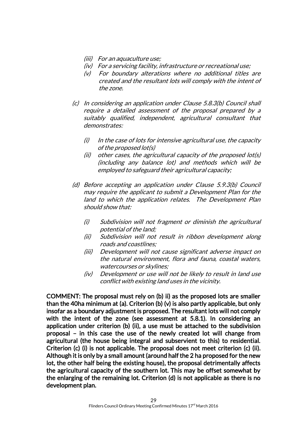- (iii) For an aquaculture use;
- (iv) For a servicing facility, infrastructure or recreational use;
- (v) For boundary alterations where no additional titles are created and the resultant lots will comply with the intent of the zone.
- (c) In considering an application under Clause 5.8.3(b) Council shall require a detailed assessment of the proposal prepared by a suitably qualified, independent, agricultural consultant that demonstrates:
	- $(i)$  In the case of lots for intensive agricultural use, the capacity of the proposed lot(s)
	- (ii) other cases, the agricultural capacity of the proposed lot(s) (including any balance lot) and methods which will be employed to safeguard their agricultural capacity;
- (d) Before accepting an application under Clause 5.9.3(b) Council may require the applicant to submit a Development Plan for the land to which the application relates. The Development Plan should show that:
	- (i) Subdivision will not fragment or diminish the agricultural potential of the land;
	- (ii) Subdivision will not result in ribbon development along roads and coastlines;
	- (iii) Development will not cause significant adverse impact on the natural environment, flora and fauna, coastal waters, watercourses or skylines;
	- (iv) Development or use will not be likely to result in land use conflict with existing land uses in the vicinity.

COMMENT: The proposal must rely on (b) ii) as the proposed lots are smaller than the 40ha minimum at (a). Criterion (b) (v) is also partly applicable, but only insofar as a boundary adjustment is proposed. The resultant lots will not comply with the intent of the zone (see assessment at 5.8.1). In considering an application under criterion (b) (ii), a use must be attached to the subdivision proposal – in this case the use of the newly created lot will change from agricultural (the house being integral and subservient to this) to residential. Criterion (c) (i) is not applicable. The proposal does not meet criterion (c) (ii). Although it is only by a small amount (around half the 2 ha proposed for the new lot, the other half being the existing house), the proposal detrimentally affects the agricultural capacity of the southern lot. This may be offset somewhat by the enlarging of the remaining lot. Criterion (d) is not applicable as there is no development plan.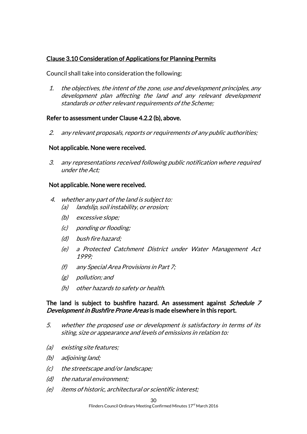# Clause 3.10 Consideration of Applications for Planning Permits

Council shall take into consideration the following:

1. the objectives, the intent of the zone, use and development principles, any development plan affecting the land and any relevant development standards or other relevant requirements of the Scheme;

#### Refer to assessment under Clause 4.2.2 (b), above.

2. any relevant proposals, reports or requirements of any public authorities;

#### Not applicable. None were received.

3. any representations received following public notification where required under the Act;

#### Not applicable. None were received.

- 4. whether any part of the land is subject to: (a) landslip, soil instability, or erosion;
	- (b) excessive slope;
	- (c) ponding or flooding;
	- (d) bush fire hazard;
	- (e) a Protected Catchment District under Water Management Act 1999;
	- (f) any Special Area Provisions in Part 7;
	- (g) pollution; and
	- (h) other hazards to safety or health.

#### The land is subject to bushfire hazard. An assessment against *Schedule 7* Development in Bushfire Prone Areas is made elsewhere in this report.

- 5. whether the proposed use or development is satisfactory in terms of its siting, size or appearance and levels of emissions in relation to:
- (a) existing site features;
- (b) adjoining land;
- (c) the streetscape and/or landscape;
- (d) the natural environment;
- (e) items of historic, architectural or scientific interest;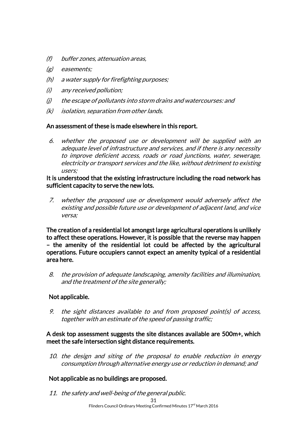- (f) buffer zones, attenuation areas,
- (g) easements;
- (h) a water supply for firefighting purposes;
- (i) any received pollution;
- (j) the escape of pollutants into storm drains and watercourses: and
- (k) isolation, separation from other lands.

#### An assessment of these is made elsewhere in this report.

6. whether the proposed use or development will be supplied with an adequate level of infrastructure and services, and if there is any necessity to improve deficient access, roads or road junctions, water, sewerage, electricity or transport services and the like, without detriment to existing users;

#### It is understood that the existing infrastructure including the road network has sufficient capacity to serve the new lots.

7. whether the proposed use or development would adversely affect the existing and possible future use or development of adjacent land, and vice versa;

The creation of a residential lot amongst large agricultural operations is unlikely to affect these operations. However, it is possible that the reverse may happen – the amenity of the residential lot could be affected by the agricultural operations. Future occupiers cannot expect an amenity typical of a residential area here.

8. the provision of adequate landscaping, amenity facilities and illumination, and the treatment of the site generally;

# Not applicable.

9. the sight distances available to and from proposed point(s) of access, together with an estimate of the speed of passing traffic;

#### A desk top assessment suggests the site distances available are 500m+, which meet the safe intersection sight distance requirements.

10. the design and siting of the proposal to enable reduction in energy consumption through alternative energy use or reduction in demand; and

# Not applicable as no buildings are proposed.

11. the safety and well-being of the general public.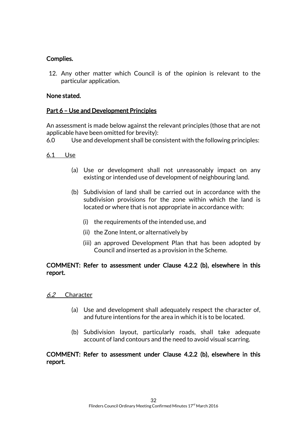# Complies.

12. Any other matter which Council is of the opinion is relevant to the particular application.

# None stated.

# Part 6 – Use and Development Principles

An assessment is made below against the relevant principles (those that are not applicable have been omitted for brevity):

6.0 Use and development shall be consistent with the following principles:

#### 6.1 Use

- (a) Use or development shall not unreasonably impact on any existing or intended use of development of neighbouring land.
- (b) Subdivision of land shall be carried out in accordance with the subdivision provisions for the zone within which the land is located or where that is not appropriate in accordance with:
	- (i) the requirements of the intended use, and
	- (ii) the Zone Intent, or alternatively by
	- (iii) an approved Development Plan that has been adopted by Council and inserted as a provision in the Scheme.

# COMMENT: Refer to assessment under Clause 4.2.2 (b), elsewhere in this report.

#### 6.2 Character

- (a) Use and development shall adequately respect the character of, and future intentions for the area in which it is to be located.
- (b) Subdivision layout, particularly roads, shall take adequate account of land contours and the need to avoid visual scarring.

# COMMENT: Refer to assessment under Clause 4.2.2 (b), elsewhere in this report.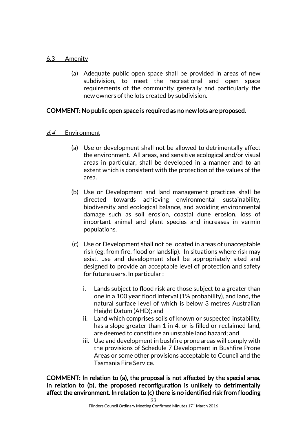#### 6.3 Amenity

(a) Adequate public open space shall be provided in areas of new subdivision, to meet the recreational and open space requirements of the community generally and particularly the new owners of the lots created by subdivision.

#### COMMENT: No public open space is required as no new lots are proposed.

#### 6.4 Environment

- (a) Use or development shall not be allowed to detrimentally affect the environment. All areas, and sensitive ecological and/or visual areas in particular, shall be developed in a manner and to an extent which is consistent with the protection of the values of the area.
- (b) Use or Development and land management practices shall be directed towards achieving environmental sustainability, biodiversity and ecological balance, and avoiding environmental damage such as soil erosion, coastal dune erosion, loss of important animal and plant species and increases in vermin populations.
- (c) Use or Development shall not be located in areas of unacceptable risk (eg. from fire, flood or landslip). In situations where risk may exist, use and development shall be appropriately sited and designed to provide an acceptable level of protection and safety for future users. In particular :
	- i. Lands subject to flood risk are those subject to a greater than one in a 100 year flood interval (1% probability), and land, the natural surface level of which is below 3 metres Australian Height Datum (AHD); and
	- ii. Land which comprises soils of known or suspected instability, has a slope greater than 1 in 4, or is filled or reclaimed land, are deemed to constitute an unstable land hazard; and
	- iii. Use and development in bushfire prone areas will comply with the provisions of Schedule 7 Development in Bushfire Prone Areas or some other provisions acceptable to Council and the Tasmania Fire Service.

COMMENT: In relation to (a), the proposal is not affected by the special area. In relation to (b), the proposed reconfiguration is unlikely to detrimentally affect the environment. In relation to (c) there is no identified risk from flooding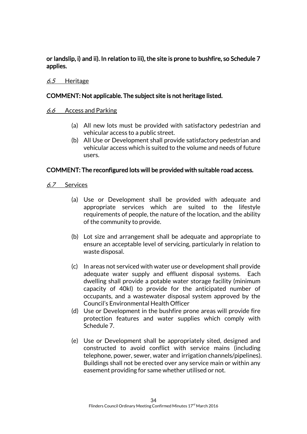or landslip, i) and ii). In relation to iii), the site is prone to bushfire, so Schedule 7 applies.

### 6.5 Heritage

# COMMENT: Not applicable. The subject site is not heritage listed.

#### 6.6 Access and Parking

- (a) All new lots must be provided with satisfactory pedestrian and vehicular access to a public street.
- (b) All Use or Development shall provide satisfactory pedestrian and vehicular access which is suited to the volume and needs of future users.

#### COMMENT: The reconfigured lots will be provided with suitable road access.

#### 6.7 Services

- (a) Use or Development shall be provided with adequate and appropriate services which are suited to the lifestyle requirements of people, the nature of the location, and the ability of the community to provide.
- (b) Lot size and arrangement shall be adequate and appropriate to ensure an acceptable level of servicing, particularly in relation to waste disposal.
- (c) In areas not serviced with water use or development shall provide adequate water supply and effluent disposal systems. Each dwelling shall provide a potable water storage facility (minimum capacity of 40kl) to provide for the anticipated number of occupants, and a wastewater disposal system approved by the Council's Environmental Health Officer
- (d) Use or Development in the bushfire prone areas will provide fire protection features and water supplies which comply with Schedule 7.
- (e) Use or Development shall be appropriately sited, designed and constructed to avoid conflict with service mains (including telephone, power, sewer, water and irrigation channels/pipelines). Buildings shall not be erected over any service main or within any easement providing for same whether utilised or not.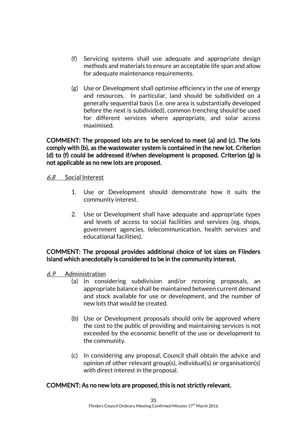- (f) Servicing systems shall use adequate and appropriate design methods and materials to ensure an acceptable life span and allow for adequate maintenance requirements.
- (g) Use or Development shall optimise efficiency in the use of energy and resources. In particular, land should be subdivided on a generally sequential basis (i.e. one area is substantially developed before the next is subdivided), common trenching should be used for different services where appropriate, and solar access maximised.

COMMENT: The proposed lots are to be serviced to meet (a) and (c). The lots comply with (b), as the wastewater system is contained in the new lot. Criterion (d) to (f) could be addressed if/when development is proposed. Criterion (g) is not applicable as no new lots are proposed.

#### 6.8 Social Interest

- 1. Use or Development should demonstrate how it suits the community interest.
- 2. Use or Development shall have adequate and appropriate types and levels of access to social facilities and services (eg. shops, government agencies, telecommunication, health services and educational facilities).

# COMMENT: The proposal provides additional choice of lot sizes on Flinders Island which anecdotally is considered to be in the community interest.

- 6.9 Administration
	- (a) In considering subdivision and/or rezoning proposals, an appropriate balance shall be maintained between current demand and stock available for use or development, and the number of new lots that would be created.
	- (b) Use or Development proposals should only be approved where the cost to the public of providing and maintaining services is not exceeded by the economic benefit of the use or development to the community.
	- (c) In considering any proposal, Council shall obtain the advice and opinion of other relevant group(s), individual(s) or organisation(s) with direct interest in the proposal.

# COMMENT: As no new lots are proposed, this is not strictly relevant.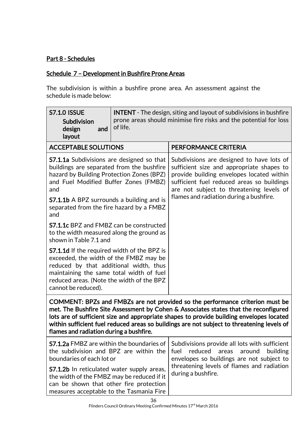# Part 8 - Schedules

# Schedule 7 – Development in Bushfire Prone Areas

The subdivision is within a bushfire prone area. An assessment against the schedule is made below:

| <b>S7.1.0 ISSUE</b><br>Subdivision<br>design<br>and<br>layout                                                                                                                                                                                                                                                                                                                                              | <b>INTENT</b> - The design, siting and layout of subdivisions in bushfire<br>prone areas should minimise fire risks and the potential for loss<br>of life. |                                                                                                                                                                                                                                                                          |  |
|------------------------------------------------------------------------------------------------------------------------------------------------------------------------------------------------------------------------------------------------------------------------------------------------------------------------------------------------------------------------------------------------------------|------------------------------------------------------------------------------------------------------------------------------------------------------------|--------------------------------------------------------------------------------------------------------------------------------------------------------------------------------------------------------------------------------------------------------------------------|--|
| <b>ACCEPTABLE SOLUTIONS</b>                                                                                                                                                                                                                                                                                                                                                                                |                                                                                                                                                            | PERFORMANCE CRITERIA                                                                                                                                                                                                                                                     |  |
| <b>S7.1.1a</b> Subdivisions are designed so that<br>buildings are separated from the bushfire<br>hazard by Building Protection Zones (BPZ)<br>and Fuel Modified Buffer Zones (FMBZ)<br>and                                                                                                                                                                                                                 |                                                                                                                                                            | Subdivisions are designed to have lots of<br>sufficient size and appropriate shapes to<br>provide building envelopes located within<br>sufficient fuel reduced areas so buildings<br>are not subject to threatening levels of<br>flames and radiation during a bushfire. |  |
| <b>S7.1.1b</b> A BPZ surrounds a building and is<br>separated from the fire hazard by a FMBZ<br>and                                                                                                                                                                                                                                                                                                        |                                                                                                                                                            |                                                                                                                                                                                                                                                                          |  |
| <b>S7.1.1c</b> BPZ and FMBZ can be constructed<br>to the width measured along the ground as<br>shown in Table 7.1 and                                                                                                                                                                                                                                                                                      |                                                                                                                                                            |                                                                                                                                                                                                                                                                          |  |
| <b>S7.1.1d</b> If the required width of the BPZ is<br>exceeded, the width of the FMBZ may be<br>reduced by that additional width, thus<br>maintaining the same total width of fuel<br>reduced areas. (Note the width of the BPZ<br>cannot be reduced).                                                                                                                                                     |                                                                                                                                                            |                                                                                                                                                                                                                                                                          |  |
| COMMENT: BPZs and FMBZs are not provided so the performance criterion must be<br>met. The Bushfire Site Assessment by Cohen & Associates states that the reconfigured<br>lots are of sufficient size and appropriate shapes to provide building envelopes located<br>within sufficient fuel reduced areas so buildings are not subject to threatening levels of<br>flames and radiation during a bushfire. |                                                                                                                                                            |                                                                                                                                                                                                                                                                          |  |
| <b>S7.1.2a</b> FMBZ are within the boundaries of<br>the subdivision and BPZ are within the<br>boundaries of each lot or<br><b>S7.1.2b</b> In reticulated water supply areas,<br>the width of the FMBZ may be reduced if it<br>can be shown that other fire protection<br>measures acceptable to the Tasmania Fire                                                                                          |                                                                                                                                                            | Subdivisions provide all lots with sufficient<br>reduced<br>fuel<br>areas<br>around<br>building<br>envelopes so buildings are not subject to<br>threatening levels of flames and radiation<br>during a bushfire.                                                         |  |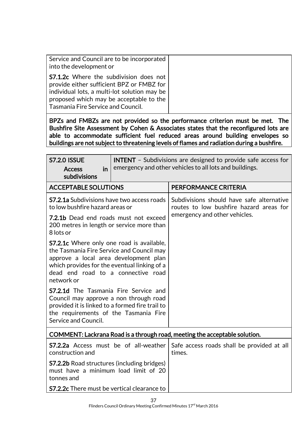| Service and Council are to be incorporated<br>into the development or                                                                                                                                                       |
|-----------------------------------------------------------------------------------------------------------------------------------------------------------------------------------------------------------------------------|
| <b>S7.1.2c</b> Where the subdivision does not<br>provide either sufficient BPZ or FMBZ for<br>individual lots, a multi-lot solution may be<br>proposed which may be acceptable to the<br>Tasmania Fire Service and Council. |

BPZs and FMBZs are not provided so the performance criterion must be met. The Bushfire Site Assessment by Cohen & Associates states that the reconfigured lots are able to accommodate sufficient fuel reduced areas around building envelopes so buildings are not subject to threatening levels of flames and radiation during a bushfire.

| <b>S7.2.0 ISSUE</b><br><b>Access</b><br>in<br>subdivisions                                                                                                                                                                                 | <b>INTENT</b> - Subdivisions are designed to provide safe access for<br>emergency and other vehicles to all lots and buildings. |                                                                                                                       |
|--------------------------------------------------------------------------------------------------------------------------------------------------------------------------------------------------------------------------------------------|---------------------------------------------------------------------------------------------------------------------------------|-----------------------------------------------------------------------------------------------------------------------|
| <b>ACCEPTABLE SOLUTIONS</b>                                                                                                                                                                                                                |                                                                                                                                 | PERFORMANCE CRITERIA                                                                                                  |
| <b>S7.2.1a</b> Subdivisions have two access roads<br>to low bushfire hazard areas or                                                                                                                                                       |                                                                                                                                 | Subdivisions should have safe alternative<br>routes to low bushfire hazard areas for<br>emergency and other vehicles. |
| 7.2.1b Dead end roads must not exceed<br>200 metres in length or service more than<br>8 lots or                                                                                                                                            |                                                                                                                                 |                                                                                                                       |
| <b>S7.2.1c</b> Where only one road is available,<br>the Tasmania Fire Service and Council may<br>approve a local area development plan<br>which provides for the eventual linking of a<br>dead end road to a connective road<br>network or |                                                                                                                                 |                                                                                                                       |
| <b>S7.2.1d</b> The Tasmania Fire Service and<br>Council may approve a non through road<br>provided it is linked to a formed fire trail to<br>the requirements of the Tasmania Fire<br>Service and Council.                                 |                                                                                                                                 |                                                                                                                       |
| COMMENT: Lackrana Road is a through road, meeting the acceptable solution.                                                                                                                                                                 |                                                                                                                                 |                                                                                                                       |
| <b>S7.2.2a</b> Access must be of all-weather<br>construction and                                                                                                                                                                           |                                                                                                                                 | Safe access roads shall be provided at all<br>times.                                                                  |
| <b>S7.2.2b</b> Road structures (including bridges)<br>must have a minimum load limit of 20<br>tonnes and                                                                                                                                   |                                                                                                                                 |                                                                                                                       |
| <b>S7.2.2c</b> There must be vertical clearance to                                                                                                                                                                                         |                                                                                                                                 |                                                                                                                       |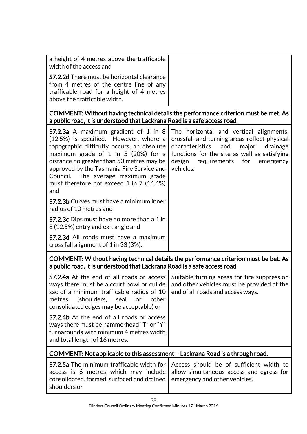| a height of 4 metres above the trafficable<br>width of the access and                                                                                                     |
|---------------------------------------------------------------------------------------------------------------------------------------------------------------------------|
| <b>S7.2.2d</b> There must be horizontal clearance<br>from 4 metres of the centre line of any<br>trafficable road for a height of 4 metres<br>above the trafficable width. |

COMMENT: Without having technical details the performance criterion must be met. As a public road, it is understood that Lackrana Road is a safe access road.

| <b>S7.2.3a</b> A maximum gradient of 1 in 8<br>(12.5%) is specified. However, where a<br>topographic difficulty occurs, an absolute<br>maximum grade of 1 in 5 (20%) for a<br>distance no greater than 50 metres may be<br>approved by the Tasmania Fire Service and<br>Council. The average maximum grade<br>must therefore not exceed 1 in 7 (14.4%)<br>and | The horizontal and vertical alignments,<br>crossfall and turning areas reflect physical<br>and<br>characteristics<br>major<br>drainage<br>functions for the site as well as satisfying<br>design<br>requirements for<br>emergency<br>vehicles. |  |
|---------------------------------------------------------------------------------------------------------------------------------------------------------------------------------------------------------------------------------------------------------------------------------------------------------------------------------------------------------------|------------------------------------------------------------------------------------------------------------------------------------------------------------------------------------------------------------------------------------------------|--|
| <b>S7.2.3b</b> Curves must have a minimum inner<br>radius of 10 metres and                                                                                                                                                                                                                                                                                    |                                                                                                                                                                                                                                                |  |
| S7.2.3c Dips must have no more than a 1 in<br>8 (12.5%) entry and exit angle and                                                                                                                                                                                                                                                                              |                                                                                                                                                                                                                                                |  |
| <b>S7.2.3d</b> All roads must have a maximum<br>cross fall alignment of 1 in 33 (3%).                                                                                                                                                                                                                                                                         |                                                                                                                                                                                                                                                |  |
| a public road, it is understood that Lackrana Road is a safe access road.                                                                                                                                                                                                                                                                                     | COMMENT: Without having technical details the performance criterion must be bet. As                                                                                                                                                            |  |
| S7.2.4a At the end of all roads or access<br>ways there must be a court bowl or cul de<br>sac of a minimum trafficable radius of 10<br>(shoulders, seal<br>other<br>metres<br><b>or</b><br>consolidated edges may be acceptable) or                                                                                                                           | Suitable turning areas for fire suppression<br>and other vehicles must be provided at the<br>end of all roads and access ways.                                                                                                                 |  |
| <b>S7.2.4b</b> At the end of all roads or access<br>ways there must be hammerhead "T" or "Y"<br>turnarounds with minimum 4 metres width<br>and total length of 16 metres.                                                                                                                                                                                     |                                                                                                                                                                                                                                                |  |
| COMMENT: Not applicable to this assessment - Lackrana Road is a through road.                                                                                                                                                                                                                                                                                 |                                                                                                                                                                                                                                                |  |

|                                                                          | <b>S7.2.5a</b> The minimum trafficable width for   Access should be of sufficient width to |
|--------------------------------------------------------------------------|--------------------------------------------------------------------------------------------|
|                                                                          | access is 6 metres which may include allow simultaneous access and egress for              |
| consolidated, formed, surfaced and drained emergency and other vehicles. |                                                                                            |
| shoulders or                                                             |                                                                                            |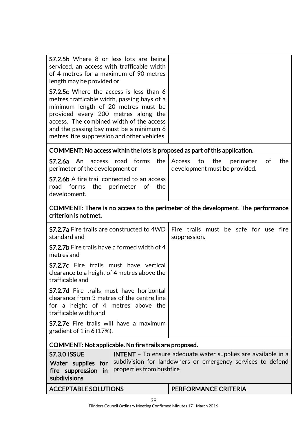| <b>S7.2.5b</b> Where 8 or less lots are being<br>serviced, an access with trafficable width<br>of 4 metres for a maximum of 90 metres<br>length may be provided or<br><b>S7.2.5c</b> Where the access is less than 6<br>metres trafficable width, passing bays of a<br>minimum length of 20 metres must be<br>provided every 200 metres along the<br>access. The combined width of the access<br>and the passing bay must be a minimum 6<br>metres. fire suppression and other vehicles |                                                                                |  |
|-----------------------------------------------------------------------------------------------------------------------------------------------------------------------------------------------------------------------------------------------------------------------------------------------------------------------------------------------------------------------------------------------------------------------------------------------------------------------------------------|--------------------------------------------------------------------------------|--|
| COMMENT: No access within the lots is proposed as part of this application.                                                                                                                                                                                                                                                                                                                                                                                                             |                                                                                |  |
| forms<br>S7.2.6a<br>An<br>road<br>the<br>access<br>perimeter of the development or<br><b>S7.2.6b</b> A fire trail connected to an access<br>perimeter<br>road<br>forms<br>the<br>0f<br>the<br>development.                                                                                                                                                                                                                                                                              | the<br>perimeter<br>0f<br>the<br>Access<br>to<br>development must be provided. |  |
| COMMENT: There is no access to the perimeter of the development. The performance<br>criterion is not met.                                                                                                                                                                                                                                                                                                                                                                               |                                                                                |  |
| <b>S7.2.7a</b> Fire trails are constructed to 4WD<br>standard and                                                                                                                                                                                                                                                                                                                                                                                                                       | Fire trails must be safe for use fire<br>suppression.                          |  |
| <b>S7.2.7b</b> Fire trails have a formed width of 4<br>metres and                                                                                                                                                                                                                                                                                                                                                                                                                       |                                                                                |  |
| S7.2.7c Fire trails must have vertical<br>clearance to a height of 4 metres above the<br>trafficable and                                                                                                                                                                                                                                                                                                                                                                                |                                                                                |  |
| <b>S7.2.7d</b> Fire trails must have horizontal<br>clearance from 3 metres of the centre line<br>for a height of 4 metres above the<br>trafficable width and                                                                                                                                                                                                                                                                                                                            |                                                                                |  |
| <b>S7.2.7e</b> Fire trails will have a maximum<br>gradient of $1$ in 6 (17%).                                                                                                                                                                                                                                                                                                                                                                                                           |                                                                                |  |
| COMMENT: Not applicable. No fire trails are proposed.                                                                                                                                                                                                                                                                                                                                                                                                                                   |                                                                                |  |
| <b>S7.3.0 ISSUE</b><br><b>INTENT</b> - To ensure adequate water supplies are available in a<br>subdivision for landowners or emergency services to defend<br>Water supplies for<br>properties from bushfire<br>fire suppression<br>in<br>subdivisions                                                                                                                                                                                                                                   |                                                                                |  |
| <b>ACCEPTABLE SOLUTIONS</b>                                                                                                                                                                                                                                                                                                                                                                                                                                                             | <b>PERFORMANCE CRITERIA</b>                                                    |  |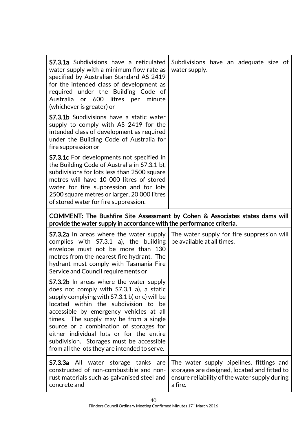| <b>S7.3.1a</b> Subdivisions have a reticulated<br>water supply with a minimum flow rate as<br>specified by Australian Standard AS 2419<br>for the intended class of development as<br>required under the Building Code of<br>Australia or 600 litres per<br>minute<br>(whichever is greater) or                                                                                                             | Subdivisions have an adequate size of<br>water supply.                       |
|-------------------------------------------------------------------------------------------------------------------------------------------------------------------------------------------------------------------------------------------------------------------------------------------------------------------------------------------------------------------------------------------------------------|------------------------------------------------------------------------------|
| <b>S7.3.1b</b> Subdivisions have a static water<br>supply to comply with AS 2419 for the<br>intended class of development as required<br>under the Building Code of Australia for<br>fire suppression or                                                                                                                                                                                                    |                                                                              |
| <b>S7.3.1c</b> For developments not specified in<br>the Building Code of Australia in S7.3.1 b),<br>subdivisions for lots less than 2500 square<br>metres will have 10 000 litres of stored<br>water for fire suppression and for lots<br>2500 square metres or larger, 20 000 litres<br>of stored water for fire suppression.                                                                              |                                                                              |
| provide the water supply in accordance with the performance criteria.                                                                                                                                                                                                                                                                                                                                       | COMMENT: The Bushfire Site Assessment by Cohen & Associates states dams will |
| <b>S7.3.2a</b> In areas where the water supply<br>complies with S7.3.1 a), the building<br>envelope must not be more than 130<br>metres from the nearest fire hydrant. The<br>hydrant must comply with Tasmania Fire<br>Service and Council requirements or                                                                                                                                                 | The water supply for fire suppression will<br>be available at all times.     |
| <b>S7.3.2b</b> In areas where the water supply<br>does not comply with S7.3.1 a), a static<br>supply complying with S7.3.1 b) or c) will be<br>located within the subdivision to be<br>accessible by emergency vehicles at all<br>times. The supply may be from a single<br>source or a combination of storages for<br>either individual lots or for the entire<br>subdivision. Storages must be accessible |                                                                              |

|              | <b>S7.3.3a</b> All water storage tanks are The water supply pipelines, fittings and                      |
|--------------|----------------------------------------------------------------------------------------------------------|
|              | constructed of non-combustible and non- storages are designed, located and fitted to                     |
| concrete and | rust materials such as galvanised steel and   ensure reliability of the water supply during  <br>a fire. |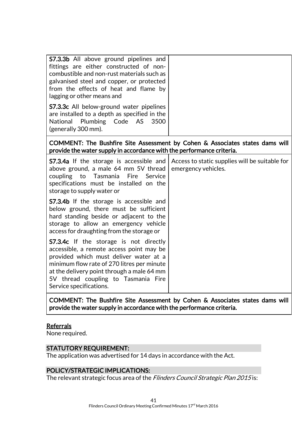| <b>S7.3.3b</b> All above ground pipelines and<br>fittings are either constructed of non-<br>combustible and non-rust materials such as<br>galvanised steel and copper, or protected<br>from the effects of heat and flame by<br>lagging or other means and<br><b>S7.3.3c</b> All below-ground water pipelines |                                                                       |  |
|---------------------------------------------------------------------------------------------------------------------------------------------------------------------------------------------------------------------------------------------------------------------------------------------------------------|-----------------------------------------------------------------------|--|
| are installed to a depth as specified in the<br>National Plumbing Code AS<br>3500<br>(generally 300 mm).                                                                                                                                                                                                      |                                                                       |  |
| COMMENT: The Bushfire Site Assessment by Cohen & Associates states dams will<br>provide the water supply in accordance with the performance criteria.                                                                                                                                                         |                                                                       |  |
| <b>S7.3.4a</b> If the storage is accessible and<br>above ground, a male 64 mm 5V thread<br>coupling to<br>Tasmania<br>Fire<br>Service<br>specifications must be installed on the<br>storage to supply water or                                                                                                | Access to static supplies will be suitable for<br>emergency vehicles. |  |
| <b>S7.3.4b</b> If the storage is accessible and<br>below ground, there must be sufficient<br>hard standing beside or adjacent to the<br>storage to allow an emergency vehicle<br>access for draughting from the storage or                                                                                    |                                                                       |  |
| <b>S7.3.4c</b> If the storage is not directly<br>accessible, a remote access point may be<br>provided which must deliver water at a<br>minimum flow rate of 270 litres per minute<br>at the delivery point through a male 64 mm<br>5V thread coupling to Tasmania Fire<br>Service specifications.             |                                                                       |  |
|                                                                                                                                                                                                                                                                                                               |                                                                       |  |

COMMENT: The Bushfire Site Assessment by Cohen & Associates states dams will provide the water supply in accordance with the performance criteria.

#### **Referrals**

None required.

# STATUTORY REQUIREMENT:

The application was advertised for 14 days in accordance with the Act.

# POLICY/STRATEGIC IMPLICATIONS:

The relevant strategic focus area of the Flinders Council Strategic Plan 2015 is: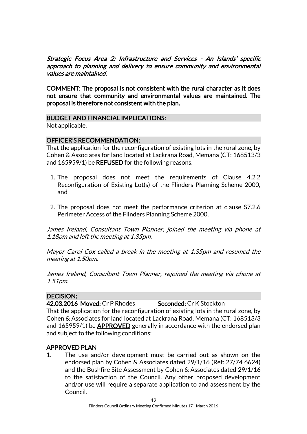Strategic Focus Area 2: Infrastructure and Services - An Islands' specific approach to planning and delivery to ensure community and environmental values are maintained.

COMMENT: The proposal is not consistent with the rural character as it does not ensure that community and environmental values are maintained. The proposal is therefore not consistent with the plan.

#### BUDGET AND FINANCIAL IMPLICATIONS:

Not applicable.

# OFFICER'S RECOMMENDATION:

That the application for the reconfiguration of existing lots in the rural zone, by Cohen & Associates for land located at Lackrana Road, Memana (CT: 168513/3 and 165959/1) be REFUSED for the following reasons:

- 1. The proposal does not meet the requirements of Clause 4.2.2 Reconfiguration of Existing Lot(s) of the Flinders Planning Scheme 2000, and
- 2. The proposal does not meet the performance criterion at clause S7.2.6 Perimeter Access of the Flinders Planning Scheme 2000.

James Ireland, Consultant Town Planner, joined the meeting via phone at 1.18pm and left the meeting at 1.35pm.

Mayor Carol Cox called a break in the meeting at 1.35pm and resumed the meeting at 1.50pm.

James Ireland, Consultant Town Planner, rejoined the meeting via phone at 1.51pm.

# DECISION:

42.03.2016 Moved: Cr P Rhodes Seconded: Cr K Stockton

That the application for the reconfiguration of existing lots in the rural zone, by Cohen & Associates for land located at Lackrana Road, Memana (CT: 168513/3 and 165959/1) be APPROVED generally in accordance with the endorsed plan and subject to the following conditions:

# APPROVED PLAN

1. The use and/or development must be carried out as shown on the endorsed plan by Cohen & Associates dated 29/1/16 (Ref: 27/74 6624) and the Bushfire Site Assessment by Cohen & Associates dated 29/1/16 to the satisfaction of the Council. Any other proposed development and/or use will require a separate application to and assessment by the Council.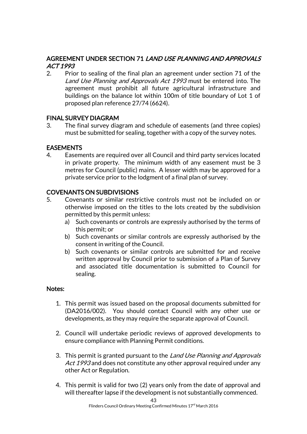# AGREEMENT UNDER SECTION 71 LAND USE PLANNING AND APPROVALS ACT 1993

2. Prior to sealing of the final plan an agreement under section 71 of the Land Use Planning and Approvals Act 1993 must be entered into. The agreement must prohibit all future agricultural infrastructure and buildings on the balance lot within 100m of title boundary of Lot 1 of proposed plan reference 27/74 (6624).

# FINAL SURVEY DIAGRAM

3. The final survey diagram and schedule of easements (and three copies) must be submitted for sealing, together with a copy of the survey notes.

# EASEMENTS

4. Easements are required over all Council and third party services located in private property. The minimum width of any easement must be 3 metres for Council (public) mains. A lesser width may be approved for a private service prior to the lodgment of a final plan of survey.

# COVENANTS ON SUBDIVISIONS

- 5. Covenants or similar restrictive controls must not be included on or otherwise imposed on the titles to the lots created by the subdivision permitted by this permit unless:
	- a) Such covenants or controls are expressly authorised by the terms of this permit; or
	- b) Such covenants or similar controls are expressly authorised by the consent in writing of the Council.
	- b) Such covenants or similar controls are submitted for and receive written approval by Council prior to submission of a Plan of Survey and associated title documentation is submitted to Council for sealing.

#### Notes:

- 1. This permit was issued based on the proposal documents submitted for (DA2016/002). You should contact Council with any other use or developments, as they may require the separate approval of Council.
- 2. Council will undertake periodic reviews of approved developments to ensure compliance with Planning Permit conditions.
- 3. This permit is granted pursuant to the *Land Use Planning and Approvals* Act 1993 and does not constitute any other approval required under any other Act or Regulation.
- 4. This permit is valid for two (2) years only from the date of approval and will thereafter lapse if the development is not substantially commenced.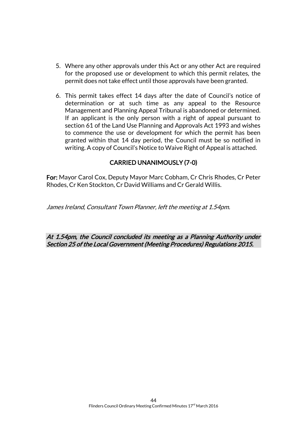- 5. Where any other approvals under this Act or any other Act are required for the proposed use or development to which this permit relates, the permit does not take effect until those approvals have been granted.
- 6. This permit takes effect 14 days after the date of Council's notice of determination or at such time as any appeal to the Resource Management and Planning Appeal Tribunal is abandoned or determined. If an applicant is the only person with a right of appeal pursuant to section 61 of the Land Use Planning and Approvals Act 1993 and wishes to commence the use or development for which the permit has been granted within that 14 day period, the Council must be so notified in writing. A copy of Council's Notice to Waive Right of Appeal is attached.

# CARRIED UNANIMOUSLY (7-0)

For: Mayor Carol Cox, Deputy Mayor Marc Cobham, Cr Chris Rhodes, Cr Peter Rhodes, Cr Ken Stockton, Cr David Williams and Cr Gerald Willis.

James Ireland, Consultant Town Planner, left the meeting at 1.54pm.

At 1.54pm, the Council concluded its meeting as a Planning Authority under Section 25 of the Local Government (Meeting Procedures) Regulations 2015.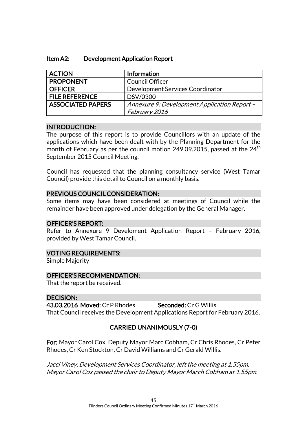| <b>ACTION</b>            | Information                                  |
|--------------------------|----------------------------------------------|
| <b>PROPONENT</b>         | <b>Council Officer</b>                       |
| <b>OFFICER</b>           | Development Services Coordinator             |
| <b>FILE REFERENCE</b>    | DSV/0300                                     |
| <b>ASSOCIATED PAPERS</b> | Annexure 9: Development Application Report - |
|                          | February 2016                                |

#### INTRODUCTION:

The purpose of this report is to provide Councillors with an update of the applications which have been dealt with by the Planning Department for the month of February as per the council motion 249.09.2015, passed at the  $24<sup>th</sup>$ September 2015 Council Meeting.

Council has requested that the planning consultancy service (West Tamar Council) provide this detail to Council on a monthly basis.

#### PREVIOUS COUNCIL CONSIDERATION:

Some items may have been considered at meetings of Council while the remainder have been approved under delegation by the General Manager.

# OFFICER'S REPORT:

Refer to Annexure 9 Develoment Application Report – February 2016, provided by West Tamar Council.

#### VOTING REQUIREMENTS:

Simple Majority

# OFFICER'S RECOMMENDATION:

That the report be received.

# DECISION:

43.03.2016 Moved: Cr P Rhodes Seconded: Cr G Willis That Council receives the Development Applications Report for February 2016.

# CARRIED UNANIMOUSLY (7-0)

For: Mayor Carol Cox, Deputy Mayor Marc Cobham, Cr Chris Rhodes, Cr Peter Rhodes, Cr Ken Stockton, Cr David Williams and Cr Gerald Willis.

Jacci Viney, Development Services Coordinator, left the meeting at 1.55pm. Mayor Carol Cox passed the chair to Deputy Mayor March Cobham at 1.55pm.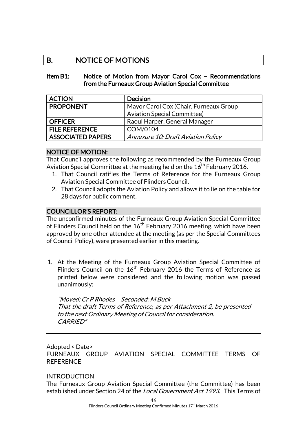# B. NOTICE OF MOTIONS

#### Item B1: Notice of Motion from Mayor Carol Cox – Recommendations from the Furneaux Group Aviation Special Committee

| <b>ACTION</b>            | <b>Decision</b>                           |
|--------------------------|-------------------------------------------|
| <b>PROPONENT</b>         | Mayor Carol Cox (Chair, Furneaux Group    |
|                          | <b>Aviation Special Committee)</b>        |
| <b>OFFICER</b>           | Raoul Harper, General Manager             |
| <b>FILE REFERENCE</b>    | COM/0104                                  |
| <b>ASSOCIATED PAPERS</b> | <b>Annexure 10: Draft Aviation Policy</b> |

#### NOTICE OF MOTION:

That Council approves the following as recommended by the Furneaux Group Aviation Special Committee at the meeting held on the  $16<sup>th</sup>$  February 2016.

- 1. That Council ratifies the Terms of Reference for the Furneaux Group Aviation Special Committee of Flinders Council.
- 2. That Council adopts the Aviation Policy and allows it to lie on the table for 28 days for public comment.

#### COUNCILLOR'S REPORT:

The unconfirmed minutes of the Furneaux Group Aviation Special Committee of Flinders Council held on the  $16<sup>th</sup>$  February 2016 meeting, which have been approved by one other attendee at the meeting (as per the Special Committees of Council Policy), were presented earlier in this meeting.

1. At the Meeting of the Furneaux Group Aviation Special Committee of Flinders Council on the 16<sup>th</sup> February 2016 the Terms of Reference as printed below were considered and the following motion was passed unanimously:

"Moved: Cr P Rhodes Seconded: M Buck That the draft Terms of Reference, as per Attachment 2, be presented to the next Ordinary Meeting of Council for consideration. CARRIED"

Adopted < Date> FURNEAUX GROUP AVIATION SPECIAL COMMITTEE TERMS OF **REFERENCE** 

# INTRODUCTION

The Furneaux Group Aviation Special Committee (the Committee) has been established under Section 24 of the *Local Government Act 1993*. This Terms of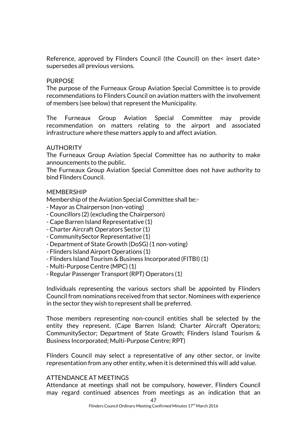Reference, approved by Flinders Council (the Council) on the< insert date> supersedes all previous versions.

#### PURPOSE

The purpose of the Furneaux Group Aviation Special Committee is to provide recommendations to Flinders Council on aviation matters with the involvement of members (see below) that represent the Municipality.

The Furneaux Group Aviation Special Committee may provide recommendation on matters relating to the airport and associated infrastructure where these matters apply to and affect aviation.

#### AUTHORITY

The Furneaux Group Aviation Special Committee has no authority to make announcements to the public.

The Furneaux Group Aviation Special Committee does not have authority to bind Flinders Council.

#### MEMBERSHIP

Membership of the Aviation Special Committee shall be:-

- Mayor as Chairperson (non-voting)
- Councillors (2) (excluding the Chairperson)
- Cape Barren Island Representative (1)
- Charter Aircraft Operators Sector (1)
- CommunitySector Representative (1)
- Department of State Growth (DoSG) (1 non-voting)
- Flinders Island Airport Operations (1)
- Flinders Island Tourism & Business Incorporated (FITBI) (1)
- Multi-Purpose Centre (MPC) (1)
- Regular Passenger Transport (RPT) Operators (1)

Individuals representing the various sectors shall be appointed by Flinders Council from nominations received from that sector. Nominees with experience in the sector they wish to represent shall be preferred.

Those members representing non-council entities shall be selected by the entity they represent. (Cape Barren Island; Charter Aircraft Operators; CommunitySector; Department of State Growth; Flinders Island Tourism & Business Incorporated; Multi-Purpose Centre; RPT)

Flinders Council may select a representative of any other sector, or invite representation from any other entity, when it is determined this will add value.

#### ATTENDANCE AT MEETINGS

Attendance at meetings shall not be compulsory, however, Flinders Council may regard continued absences from meetings as an indication that an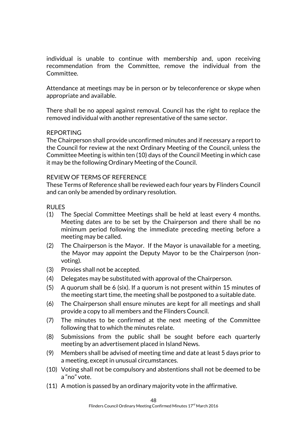individual is unable to continue with membership and, upon receiving recommendation from the Committee, remove the individual from the Committee.

Attendance at meetings may be in person or by teleconference or skype when appropriate and available.

There shall be no appeal against removal. Council has the right to replace the removed individual with another representative of the same sector.

#### REPORTING

The Chairperson shall provide unconfirmed minutes and if necessary a report to the Council for review at the next Ordinary Meeting of the Council, unless the Committee Meeting is within ten (10) days of the Council Meeting in which case it may be the following Ordinary Meeting of the Council.

#### REVIEW OF TERMS OF REFERENCE

These Terms of Reference shall be reviewed each four years by Flinders Council and can only be amended by ordinary resolution.

#### RULES

- (1) The Special Committee Meetings shall be held at least every 4 months. Meeting dates are to be set by the Chairperson and there shall be no minimum period following the immediate preceding meeting before a meeting may be called.
- (2) The Chairperson is the Mayor. If the Mayor is unavailable for a meeting, the Mayor may appoint the Deputy Mayor to be the Chairperson (nonvoting).
- (3) Proxies shall not be accepted.
- (4) Delegates may be substituted with approval of the Chairperson.
- (5) A quorum shall be 6 (six). If a quorum is not present within 15 minutes of the meeting start time, the meeting shall be postponed to a suitable date.
- (6) The Chairperson shall ensure minutes are kept for all meetings and shall provide a copy to all members and the Flinders Council.
- (7) The minutes to be confirmed at the next meeting of the Committee following that to which the minutes relate.
- (8) Submissions from the public shall be sought before each quarterly meeting by an advertisement placed in Island News.
- (9) Members shall be advised of meeting time and date at least 5 days prior to a meeting, except in unusual circumstances.
- (10) Voting shall not be compulsory and abstentions shall not be deemed to be a "no" vote.
- (11) A motion is passed by an ordinary majority vote in the affirmative.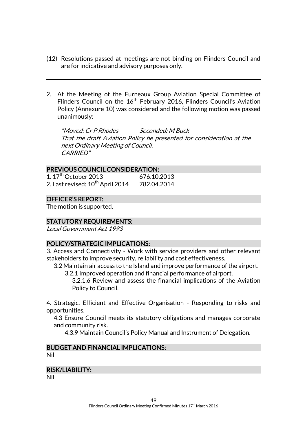- (12) Resolutions passed at meetings are not binding on Flinders Council and are for indicative and advisory purposes only.
- 2. At the Meeting of the Furneaux Group Aviation Special Committee of Flinders Council on the 16<sup>th</sup> February 2016, Flinders Council's Aviation Policy (Annexure 10) was considered and the following motion was passed unanimously:

"Moved: Cr P Rhodes Seconded: M Buck That the draft Aviation Policy be presented for consideration at the next Ordinary Meeting of Council. CARRIED"

#### PREVIOUS COUNCIL CONSIDERATION:

| 1.17 <sup>th</sup> October 2013              | 676.10.2013 |
|----------------------------------------------|-------------|
| 2. Last revised: 10 <sup>th</sup> April 2014 | 782.04.2014 |

# OFFICER'S REPORT:

The motion is supported.

# STATUTORY REQUIREMENTS:

Local Government Act 1993

# POLICY/STRATEGIC IMPLICATIONS:

3. Access and Connectivity - Work with service providers and other relevant stakeholders to improve security, reliability and cost effectiveness.

3.2 Maintain air access to the Island and improve performance of the airport.

3.2.1 Improved operation and financial performance of airport.

3.2.1.6 Review and assess the financial implications of the Aviation Policy to Council.

4. Strategic, Efficient and Effective Organisation - Responding to risks and opportunities.

4.3 Ensure Council meets its statutory obligations and manages corporate and community risk.

4.3.9 Maintain Council's Policy Manual and Instrument of Delegation.

#### BUDGET AND FINANCIAL IMPLICATIONS: Nil

#### RISK/LIABILITY:

Nil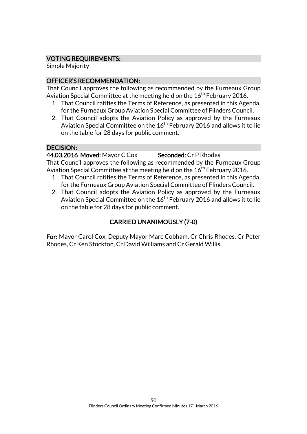# VOTING REQUIREMENTS:

Simple Majority

# OFFICER'S RECOMMENDATION:

That Council approves the following as recommended by the Furneaux Group Aviation Special Committee at the meeting held on the  $16^{th}$  February 2016.

- 1. That Council ratifies the Terms of Reference, as presented in this Agenda, for the Furneaux Group Aviation Special Committee of Flinders Council.
- 2. That Council adopts the Aviation Policy as approved by the Furneaux Aviation Special Committee on the  $16<sup>th</sup>$  February 2016 and allows it to lie on the table for 28 days for public comment.

# DECISION:

44.03.2016 Moved: Mayor C Cox Seconded: Cr P Rhodes That Council approves the following as recommended by the Furneaux Group Aviation Special Committee at the meeting held on the  $16<sup>th</sup>$  February 2016.

- 1. That Council ratifies the Terms of Reference, as presented in this Agenda, for the Furneaux Group Aviation Special Committee of Flinders Council.
- 2. That Council adopts the Aviation Policy as approved by the Furneaux Aviation Special Committee on the 16<sup>th</sup> February 2016 and allows it to lie on the table for 28 days for public comment.

# CARRIED UNANIMOUSLY (7-0)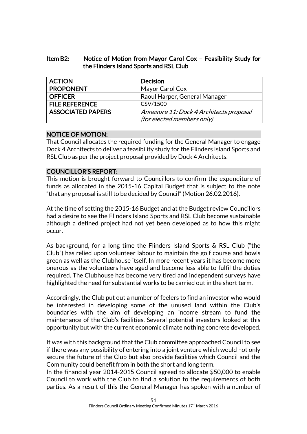### Item B2: Notice of Motion from Mayor Carol Cox – Feasibility Study for the Flinders Island Sports and RSL Club

| <b>ACTION</b>            | <b>Decision</b>                         |
|--------------------------|-----------------------------------------|
| <b>PROPONENT</b>         | Mayor Carol Cox                         |
| <b>OFFICER</b>           | Raoul Harper, General Manager           |
| <b>FILE REFERENCE</b>    | CSV/1500                                |
| <b>ASSOCIATED PAPERS</b> | Annexure 11: Dock 4 Architects proposal |
|                          | (for elected members only)              |

#### NOTICE OF MOTION:

That Council allocates the required funding for the General Manager to engage Dock 4 Architects to deliver a feasibility study for the Flinders Island Sports and RSL Club as per the project proposal provided by Dock 4 Architects.

# COUNCILLOR'S REPORT:

This motion is brought forward to Councillors to confirm the expenditure of funds as allocated in the 2015-16 Capital Budget that is subject to the note "that any proposal is still to be decided by Council" (Motion 26.02.2016).

At the time of setting the 2015-16 Budget and at the Budget review Councillors had a desire to see the Flinders Island Sports and RSL Club become sustainable although a defined project had not yet been developed as to how this might occur.

As background, for a long time the Flinders Island Sports & RSL Club ("the Club") has relied upon volunteer labour to maintain the golf course and bowls green as well as the Clubhouse itself. In more recent years it has become more onerous as the volunteers have aged and become less able to fulfil the duties required. The Clubhouse has become very tired and independent surveys have highlighted the need for substantial works to be carried out in the short term.

Accordingly, the Club put out a number of feelers to find an investor who would be interested in developing some of the unused land within the Club's boundaries with the aim of developing an income stream to fund the maintenance of the Club's facilities. Several potential investors looked at this opportunity but with the current economic climate nothing concrete developed.

It was with this background that the Club committee approached Council to see if there was any possibility of entering into a joint venture which would not only secure the future of the Club but also provide facilities which Council and the Community could benefit from in both the short and long term.

In the financial year 2014-2015 Council agreed to allocate \$50,000 to enable Council to work with the Club to find a solution to the requirements of both parties. As a result of this the General Manager has spoken with a number of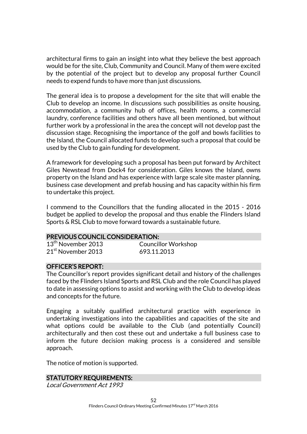architectural firms to gain an insight into what they believe the best approach would be for the site, Club, Community and Council. Many of them were excited by the potential of the project but to develop any proposal further Council needs to expend funds to have more than just discussions.

The general idea is to propose a development for the site that will enable the Club to develop an income. In discussions such possibilities as onsite housing, accommodation, a community hub of offices, health rooms, a commercial laundry, conference facilities and others have all been mentioned, but without further work by a professional in the area the concept will not develop past the discussion stage. Recognising the importance of the golf and bowls facilities to the Island, the Council allocated funds to develop such a proposal that could be used by the Club to gain funding for development.

A framework for developing such a proposal has been put forward by Architect Giles Newstead from Dock4 for consideration. Giles knows the Island, owns property on the Island and has experience with large scale site master planning, business case development and prefab housing and has capacity within his firm to undertake this project.

I commend to the Councillors that the funding allocated in the 2015 - 2016 budget be applied to develop the proposal and thus enable the Flinders Island Sports & RSL Club to move forward towards a sustainable future.

#### PREVIOUS COUNCIL CONSIDERATION:

| $13^{\text{th}}$ November 2013 |  |
|--------------------------------|--|
| 21 <sup>st</sup> November 2013 |  |

Councillor Workshop 693.11.2013

# OFFICER'S REPORT:

The Councillor's report provides significant detail and history of the challenges faced by the Flinders Island Sports and RSL Club and the role Council has played to date in assessing options to assist and working with the Club to develop ideas and concepts for the future.

Engaging a suitably qualified architectural practice with experience in undertaking investigations into the capabilities and capacities of the site and what options could be available to the Club (and potentially Council) architecturally and then cost these out and undertake a full business case to inform the future decision making process is a considered and sensible approach.

The notice of motion is supported.

#### STATUTORY REQUIREMENTS:

Local Government Act 1993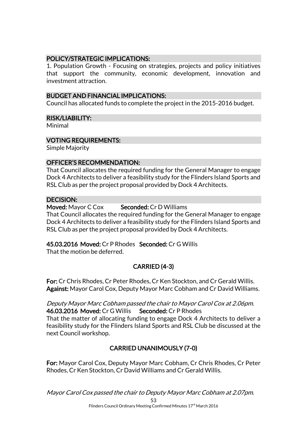### POLICY/STRATEGIC IMPLICATIONS:

1. Population Growth - Focusing on strategies, projects and policy initiatives that support the community, economic development, innovation and investment attraction.

#### BUDGET AND FINANCIAL IMPLICATIONS:

Council has allocated funds to complete the project in the 2015-2016 budget.

#### RISK/LIABILITY:

Minimal

#### VOTING REQUIREMENTS:

Simple Majority

#### OFFICER'S RECOMMENDATION:

That Council allocates the required funding for the General Manager to engage Dock 4 Architects to deliver a feasibility study for the Flinders Island Sports and RSL Club as per the project proposal provided by Dock 4 Architects.

#### DECISION:

#### Moved: Mayor C Cox Seconded: Cr D Williams

That Council allocates the required funding for the General Manager to engage Dock 4 Architects to deliver a feasibility study for the Flinders Island Sports and RSL Club as per the project proposal provided by Dock 4 Architects.

# 45.03.2016 Moved: Cr P Rhodes Seconded: Cr G Willis

That the motion be deferred.

# CARRIED (4-3)

For: Cr Chris Rhodes, Cr Peter Rhodes, Cr Ken Stockton, and Cr Gerald Willis. Against: Mayor Carol Cox, Deputy Mayor Marc Cobham and Cr David Williams.

#### Deputy Mayor Marc Cobham passed the chair to Mayor Carol Cox at 2.06pm. 46.03.2016 Moved: Cr G Willis Seconded: Cr P Rhodes That the matter of allocating funding to engage Dock 4 Architects to deliver a feasibility study for the Flinders Island Sports and RSL Club be discussed at the

next Council workshop.

# CARRIED UNANIMOUSLY (7-0)

For: Mayor Carol Cox, Deputy Mayor Marc Cobham, Cr Chris Rhodes, Cr Peter Rhodes, Cr Ken Stockton, Cr David Williams and Cr Gerald Willis.

53 Mayor Carol Cox passed the chair to Deputy Mayor Marc Cobham at 2.07pm.

Flinders Council Ordinary Meeting Confirmed Minutes 17<sup>rd</sup> March 2016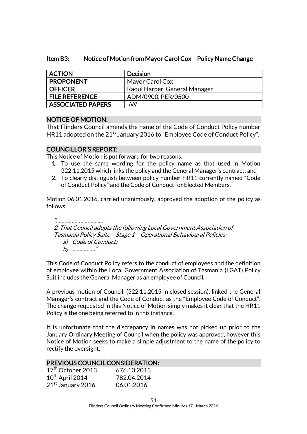#### Item B3: Notice of Motion from Mayor Carol Cox – Policy Name Change

| <b>ACTION</b>         | <b>Decision</b>               |
|-----------------------|-------------------------------|
| <b>PROPONENT</b>      | Mayor Carol Cox               |
| <b>OFFICER</b>        | Raoul Harper, General Manager |
| <b>FILE REFERENCE</b> | ADM/0900, PER/0500            |
| ASSOCIATED PAPERS     | Nil                           |

#### NOTICE OF MOTION:

That Flinders Council amends the name of the Code of Conduct Policy number HR11 adopted on the  $21<sup>st</sup>$  January 2016 to "Employee Code of Conduct Policy".

#### COUNCILLOR'S REPORT:

This Notice of Motion is put forward for two reasons:

- 1. To use the same wording for the policy name as that used in Motion 322.11.2015 which links the policy and the General Manager's contract; and
- 2. To clearly distinguish between policy number HR11 currently named "Code of Conduct Policy" and the Code of Conduct for Elected Members.

Motion 06.01.2016, carried unanimously, approved the adoption of the policy as follows:

"……………………………. 2. That Council adopts the following Local Government Association of Tasmania Policy Suite – Stage 1 – Operational Behavioural Policies: a) Code of Conduct; b) ……………."

This Code of Conduct Policy refers to the conduct of employees and the definition of employee within the Local Government Association of Tasmania (LGAT) Policy Suit includes the General Manager as an employee of Council.

A previous motion of Council, (322.11.2015 in closed session), linked the General Manager's contract and the Code of Conduct as the "Employee Code of Conduct". The change requested in this Notice of Motion simply makes it clear that the HR11 Policy is the one being referred to in this instance.

It is unfortunate that the discrepancy in names was not picked up prior to the January Ordinary Meeting of Council when the policy was approved, however this Notice of Motion seeks to make a simple adjustment to the name of the policy to rectify the oversight.

#### PREVIOUS COUNCIL CONSIDERATION:

| 17 <sup>th</sup> October 2013 | 676.10.2013 |
|-------------------------------|-------------|
| $10^{th}$ April 2014          | 782.04.2014 |
| 21st January 2016             | 06.01.2016  |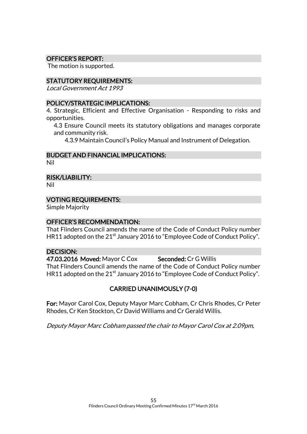#### OFFICER'S REPORT:

The motion is supported.

#### STATUTORY REQUIREMENTS:

Local Government Act 1993

#### POLICY/STRATEGIC IMPLICATIONS:

4. Strategic, Efficient and Effective Organisation - Responding to risks and opportunities.

4.3 Ensure Council meets its statutory obligations and manages corporate and community risk.

4.3.9 Maintain Council's Policy Manual and Instrument of Delegation.

### BUDGET AND FINANCIAL IMPLICATIONS:

Nil

#### RISK/LIABILITY:

Nil

#### VOTING REQUIREMENTS:

Simple Majority

#### OFFICER'S RECOMMENDATION:

That Flinders Council amends the name of the Code of Conduct Policy number HR11 adopted on the  $21<sup>st</sup>$  January 2016 to "Employee Code of Conduct Policy".

#### DECISION:

47.03.2016 Moved: Mayor C Cox Seconded: Cr G Willis That Flinders Council amends the name of the Code of Conduct Policy number HR11 adopted on the 21<sup>st</sup> January 2016 to "Employee Code of Conduct Policy".

# CARRIED UNANIMOUSLY (7-0)

For: Mayor Carol Cox, Deputy Mayor Marc Cobham, Cr Chris Rhodes, Cr Peter Rhodes, Cr Ken Stockton, Cr David Williams and Cr Gerald Willis.

Deputy Mayor Marc Cobham passed the chair to Mayor Carol Cox at 2.09pm.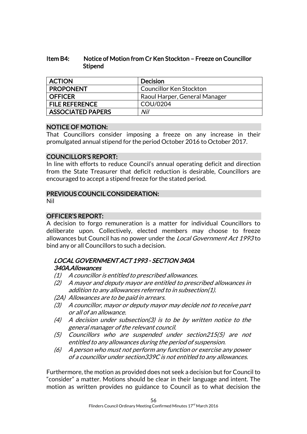### Item B4: Notice of Motion from Cr Ken Stockton – Freeze on Councillor Stipend

| <b>ACTION</b>            | <b>Decision</b>                |
|--------------------------|--------------------------------|
| <b>PROPONENT</b>         | <b>Councillor Ken Stockton</b> |
| <b>OFFICER</b>           | Raoul Harper, General Manager  |
| <b>FILE REFERENCE</b>    | COU/0204                       |
| <b>ASSOCIATED PAPERS</b> | Nil                            |

# NOTICE OF MOTION:

That Councillors consider imposing a freeze on any increase in their promulgated annual stipend for the period October 2016 to October 2017.

#### COUNCILLOR'S REPORT:

In line with efforts to reduce Council's annual operating deficit and direction from the State Treasurer that deficit reduction is desirable, Councillors are encouraged to accept a stipend freeze for the stated period.

# PREVIOUS COUNCIL CONSIDERATION:

Nil

# OFFICER'S REPORT:

A decision to forgo remuneration is a matter for individual Councillors to deliberate upon. Collectively, elected members may choose to freeze allowances but Council has no power under the *Local Government Act 1993* to bind any or all Councillors to such a decision.

# LOCAL GOVERNMENT ACT 1993 - SECTION 340A 340A. Allowances

- (1) A councillor is entitled to prescribed allowances.
- (2) A mayor and deputy mayor are entitled to prescribed allowances in addition to any allowances referred to in subsection(1).
- (2A) Allowances are to be paid in arrears.
- (3) A councillor, mayor or deputy mayor may decide not to receive part or all of an allowance.
- $(4)$  A decision under subsection(3) is to be by written notice to the general manager of the relevant council.
- (5) Councillors who are suspended under section215(5) are not entitled to any allowances during the period of suspension.
- (6) A person who must not perform any function or exercise any power of a councillor under section339C is not entitled to any allowances.

Furthermore, the motion as provided does not seek a decision but for Council to "consider" a matter. Motions should be clear in their language and intent. The motion as written provides no guidance to Council as to what decision the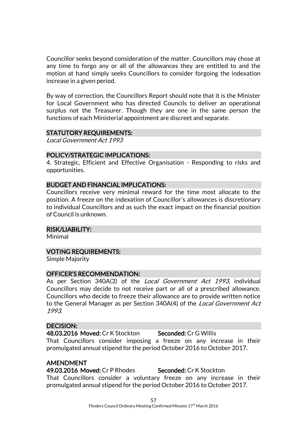Councillor seeks beyond consideration of the matter. Councillors may chose at any time to forgo any or all of the allowances they are entitled to and the motion at hand simply seeks Councillors to consider forgoing the indexation increase in a given period.

By way of correction, the Councillors Report should note that it is the Minister for Local Government who has directed Councils to deliver an operational surplus not the Treasurer. Though they are one in the same person the functions of each Ministerial appointment are discreet and separate.

#### STATUTORY REQUIREMENTS:

Local Government Act 1993

#### POLICY/STRATEGIC IMPLICATIONS:

4. Strategic, Efficient and Effective Organisation - Responding to risks and opportunities.

#### BUDGET AND FINANCIAL IMPLICATIONS:

Councillors receive very minimal reward for the time most allocate to the position. A freeze on the indexation of Councillor's allowances is discretionary to individual Councillors and as such the exact impact on the financial position of Council is unknown.

#### RISK/LIABILITY:

Minimal

#### VOTING REQUIREMENTS:

Simple Majority

#### OFFICER'S RECOMMENDATION:

As per Section 340A(3) of the *Local Government Act 1993*, individual Councillors may decide to not receive part or all of a prescribed allowance. Councillors who decide to freeze their allowance are to provide written notice to the General Manager as per Section 340A(4) of the Local Government Act 1993.

#### DECISION:

48.03.2016 Moved: Cr K Stockton Seconded: Cr G Willis That Councillors consider imposing a freeze on any increase in their promulgated annual stipend for the period October 2016 to October 2017.

#### AMENDMENT

49.03.2016 Moved: Cr P Rhodes Seconded: Cr K Stockton That Councillors consider a voluntary freeze on any increase in their promulgated annual stipend for the period October 2016 to October 2017.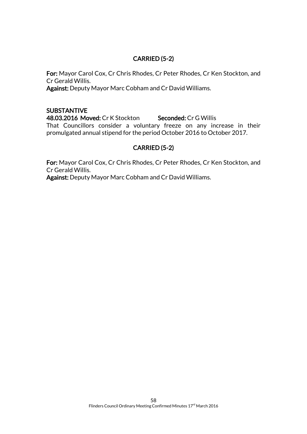# CARRIED (5-2)

For: Mayor Carol Cox, Cr Chris Rhodes, Cr Peter Rhodes, Cr Ken Stockton, and Cr Gerald Willis.

Against: Deputy Mayor Marc Cobham and Cr David Williams.

### **SUBSTANTIVE**

48.03.2016 Moved: Cr K Stockton Seconded: Cr G Willis That Councillors consider a voluntary freeze on any increase in their promulgated annual stipend for the period October 2016 to October 2017.

# CARRIED (5-2)

For: Mayor Carol Cox, Cr Chris Rhodes, Cr Peter Rhodes, Cr Ken Stockton, and Cr Gerald Willis.

Against: Deputy Mayor Marc Cobham and Cr David Williams.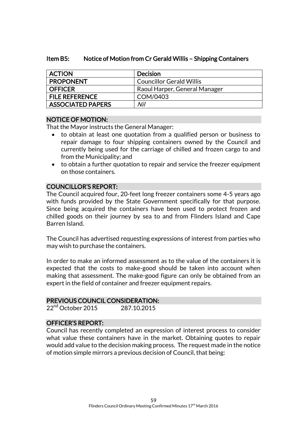#### Item B5: Notice of Motion from Cr Gerald Willis – Shipping Containers

| <b>ACTION</b>            | <b>Decision</b>                 |
|--------------------------|---------------------------------|
| <b>PROPONENT</b>         | <b>Councillor Gerald Willis</b> |
| <b>OFFICER</b>           | Raoul Harper, General Manager   |
| <b>FILE REFERENCE</b>    | COM/0403                        |
| <b>ASSOCIATED PAPERS</b> | Nil                             |

#### NOTICE OF MOTION:

That the Mayor instructs the General Manager:

- to obtain at least one quotation from a qualified person or business to repair damage to four shipping containers owned by the Council and currently being used for the carriage of chilled and frozen cargo to and from the Municipality; and
- to obtain a further quotation to repair and service the freezer equipment on those containers.

### COUNCILLOR'S REPORT:

The Council acquired four, 20-feet long freezer containers some 4-5 years ago with funds provided by the State Government specifically for that purpose. Since being acquired the containers have been used to protect frozen and chilled goods on their journey by sea to and from Flinders Island and Cape Barren Island.

The Council has advertised requesting expressions of interest from parties who may wish to purchase the containers.

In order to make an informed assessment as to the value of the containers it is expected that the costs to make-good should be taken into account when making that assessment. The make-good figure can only be obtained from an expert in the field of container and freezer equipment repairs.

#### PREVIOUS COUNCIL CONSIDERATION:

22<sup>nd</sup> October 2015 287.10.2015

#### OFFICER'S REPORT:

Council has recently completed an expression of interest process to consider what value these containers have in the market. Obtaining quotes to repair would add value to the decision making process. The request made in the notice of motion simple mirrors a previous decision of Council, that being: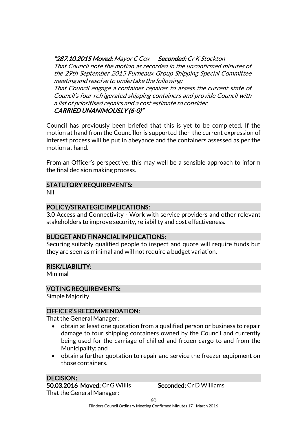"287.10.2015 Moved: Mayor C Cox Seconded: Cr K Stockton

That Council note the motion as recorded in the unconfirmed minutes of the 29th September 2015 Furneaux Group Shipping Special Committee meeting and resolve to undertake the following:

CARRIED UNANIMOUSLY (6-0)" That Council engage a container repairer to assess the current state of Council's four refrigerated shipping containers and provide Council with a list of prioritised repairs and a cost estimate to consider.

Council has previously been briefed that this is yet to be completed. If the motion at hand from the Councillor is supported then the current expression of interest process will be put in abeyance and the containers assessed as per the motion at hand.

From an Officer's perspective, this may well be a sensible approach to inform the final decision making process.

# STATUTORY REQUIREMENTS:

Nil

# POLICY/STRATEGIC IMPLICATIONS:

3.0 Access and Connectivity - Work with service providers and other relevant stakeholders to improve security, reliability and cost effectiveness.

# BUDGET AND FINANCIAL IMPLICATIONS:

Securing suitably qualified people to inspect and quote will require funds but they are seen as minimal and will not require a budget variation.

# RISK/LIABILITY:

Minimal

# VOTING REQUIREMENTS:

Simple Majority

# OFFICER'S RECOMMENDATION:

That the General Manager:

- obtain at least one quotation from a qualified person or business to repair damage to four shipping containers owned by the Council and currently being used for the carriage of chilled and frozen cargo to and from the Municipality; and
- obtain a further quotation to repair and service the freezer equipment on those containers.

#### DECISION: 50.03.2016 Moved: Cr G Willis Seconded: Cr D Williams That the General Manager: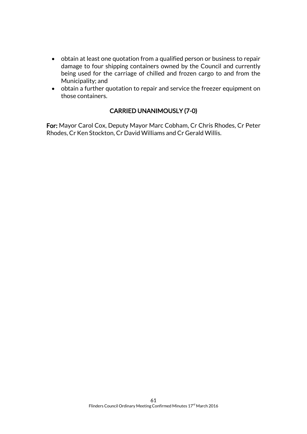- obtain at least one quotation from a qualified person or business to repair damage to four shipping containers owned by the Council and currently being used for the carriage of chilled and frozen cargo to and from the Municipality; and
- obtain a further quotation to repair and service the freezer equipment on those containers.

# CARRIED UNANIMOUSLY (7-0)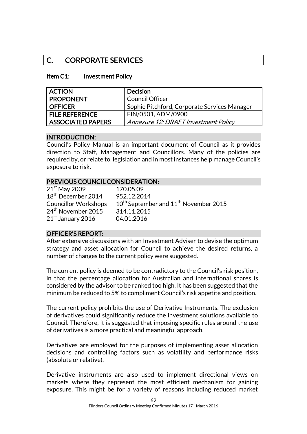# C. CORPORATE SERVICES

#### Item C1: Investment Policy

| <b>ACTION</b>         | Decision                                     |
|-----------------------|----------------------------------------------|
| <b>PROPONENT</b>      | <b>Council Officer</b>                       |
| <b>OFFICER</b>        | Sophie Pitchford, Corporate Services Manager |
| <b>FILE REFERENCE</b> | FIN/0501, ADM/0900                           |
| ASSOCIATED PAPERS     | Annexure 12: DRAFT Investment Policy         |

#### INTRODUCTION:

Council's Policy Manual is an important document of Council as it provides direction to Staff, Management and Councillors. Many of the policies are required by, or relate to, legislation and in most instances help manage Council's exposure to risk.

#### PREVIOUS COUNCIL CONSIDERATION:

| $21st$ May 2009                | 170.05.09                                                     |
|--------------------------------|---------------------------------------------------------------|
| 18 <sup>th</sup> December 2014 | 952.12.2014                                                   |
| <b>Councillor Workshops</b>    | 10 <sup>th</sup> September and 11 <sup>th</sup> November 2015 |
| 24 <sup>th</sup> November 2015 | 314.11.2015                                                   |
| 21 <sup>st</sup> January 2016  | 04.01.2016                                                    |

# OFFICER'S REPORT:

After extensive discussions with an Investment Adviser to devise the optimum strategy and asset allocation for Council to achieve the desired returns, a number of changes to the current policy were suggested.

The current policy is deemed to be contradictory to the Council's risk position, in that the percentage allocation for Australian and international shares is considered by the advisor to be ranked too high. It has been suggested that the minimum be reduced to 5% to compliment Council's risk appetite and position.

The current policy prohibits the use of Derivative Instruments. The exclusion of derivatives could significantly reduce the investment solutions available to Council. Therefore, it is suggested that imposing specific rules around the use of derivatives is a more practical and meaningful approach.

Derivatives are employed for the purposes of implementing asset allocation decisions and controlling factors such as volatility and performance risks (absolute or relative).

Derivative instruments are also used to implement directional views on markets where they represent the most efficient mechanism for gaining exposure. This might be for a variety of reasons including reduced market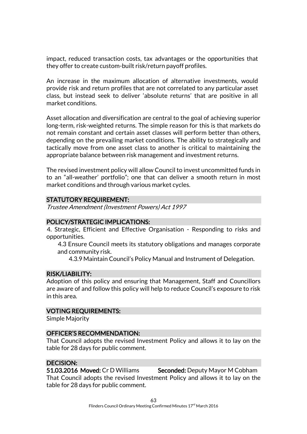impact, reduced transaction costs, tax advantages or the opportunities that they offer to create custom-built risk/return payoff profiles.

An increase in the maximum allocation of alternative investments, would provide risk and return profiles that are not correlated to any particular asset class, but instead seek to deliver 'absolute returns' that are positive in all market conditions.

Asset allocation and diversification are central to the goal of achieving superior long-term, risk-weighted returns. The simple reason for this is that markets do not remain constant and certain asset classes will perform better than others, depending on the prevailing market conditions. The ability to strategically and tactically move from one asset class to another is critical to maintaining the appropriate balance between risk management and investment returns.

The revised investment policy will allow Council to invest uncommitted funds in to an "all-weather' portfolio"; one that can deliver a smooth return in most market conditions and through various market cycles.

#### STATUTORY REQUIREMENT:

Trustee Amendment (Investment Powers) Act 1997

#### POLICY/STRATEGIC IMPLICATIONS:

4. Strategic, Efficient and Effective Organisation - Responding to risks and opportunities.

4.3 Ensure Council meets its statutory obligations and manages corporate and community risk.

4.3.9 Maintain Council's Policy Manual and Instrument of Delegation.

#### RISK/LIABILITY:

Adoption of this policy and ensuring that Management, Staff and Councillors are aware of and follow this policy will help to reduce Council's exposure to risk in this area.

#### VOTING REQUIREMENTS:

Simple Majority

#### OFFICER'S RECOMMENDATION:

That Council adopts the revised Investment Policy and allows it to lay on the table for 28 days for public comment.

#### DECISION:

51.03.2016 Moved: Cr D Williams Seconded: Deputy Mayor M Cobham That Council adopts the revised Investment Policy and allows it to lay on the table for 28 days for public comment.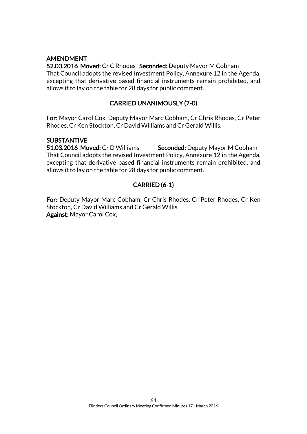# AMENDMENT

52.03.2016 Moved: Cr C Rhodes Seconded: Deputy Mayor M Cobham That Council adopts the revised Investment Policy, Annexure 12 in the Agenda, excepting that derivative based financial instruments remain prohibited, and allows it to lay on the table for 28 days for public comment.

# CARRIED UNANIMOUSLY (7-0)

For: Mayor Carol Cox, Deputy Mayor Marc Cobham, Cr Chris Rhodes, Cr Peter Rhodes, Cr Ken Stockton, Cr David Williams and Cr Gerald Willis.

#### SUBSTANTIVE

51.03.2016 Moved: Cr D Williams Seconded: Deputy Mayor M Cobham That Council adopts the revised Investment Policy, Annexure 12 in the Agenda, excepting that derivative based financial instruments remain prohibited, and allows it to lay on the table for 28 days for public comment.

# CARRIED (6-1)

For: Deputy Mayor Marc Cobham, Cr Chris Rhodes, Cr Peter Rhodes, Cr Ken Stockton, Cr David Williams and Cr Gerald Willis. Against: Mayor Carol Cox,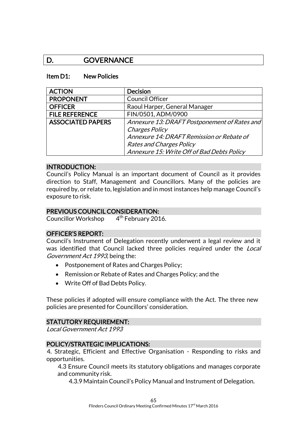# D. GOVERNANCE

#### Item D1: New Policies

| <b>ACTION</b>            | <b>Decision</b>                              |
|--------------------------|----------------------------------------------|
| <b>PROPONENT</b>         | <b>Council Officer</b>                       |
| <b>OFFICER</b>           | Raoul Harper, General Manager                |
| <b>FILE REFERENCE</b>    | FIN/0501, ADM/0900                           |
| <b>ASSOCIATED PAPERS</b> | Annexure 13: DRAFT Postponement of Rates and |
|                          | Charges Policy                               |
|                          | Annexure 14: DRAFT Remission or Rebate of    |
|                          | Rates and Charges Policy                     |
|                          | Annexure 15: Write Off of Bad Debts Policy   |

#### INTRODUCTION:

Council's Policy Manual is an important document of Council as it provides direction to Staff, Management and Councillors. Many of the policies are required by, or relate to, legislation and in most instances help manage Council's exposure to risk.

#### PREVIOUS COUNCIL CONSIDERATION:

Councillor Workshop 4 4<sup>th</sup> February 2016.

#### OFFICER'S REPORT:

Council's Instrument of Delegation recently underwent a legal review and it was identified that Council lacked three policies required under the Local Government Act 1993, being the:

- Postponement of Rates and Charges Policy;
- Remission or Rebate of Rates and Charges Policy; and the
- Write Off of Bad Debts Policy.

These policies if adopted will ensure compliance with the Act. The three new policies are presented for Councillors' consideration.

#### STATUTORY REQUIREMENT:

Local Government Act 1993

#### POLICY/STRATEGIC IMPLICATIONS:

4. Strategic, Efficient and Effective Organisation - Responding to risks and opportunities.

4.3 Ensure Council meets its statutory obligations and manages corporate and community risk.

4.3.9 Maintain Council's Policy Manual and Instrument of Delegation.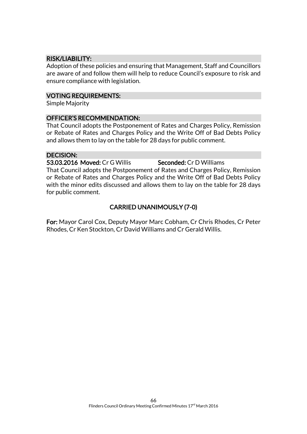# RISK/LIABILITY:

Adoption of these policies and ensuring that Management, Staff and Councillors are aware of and follow them will help to reduce Council's exposure to risk and ensure compliance with legislation.

### VOTING REQUIREMENTS:

Simple Majority

#### OFFICER'S RECOMMENDATION:

That Council adopts the Postponement of Rates and Charges Policy, Remission or Rebate of Rates and Charges Policy and the Write Off of Bad Debts Policy and allows them to lay on the table for 28 days for public comment.

# DECISION:

53.03.2016 Moved: Cr G Willis Seconded: Cr D Williams That Council adopts the Postponement of Rates and Charges Policy, Remission or Rebate of Rates and Charges Policy and the Write Off of Bad Debts Policy with the minor edits discussed and allows them to lay on the table for 28 days for public comment.

# CARRIED UNANIMOUSLY (7-0)